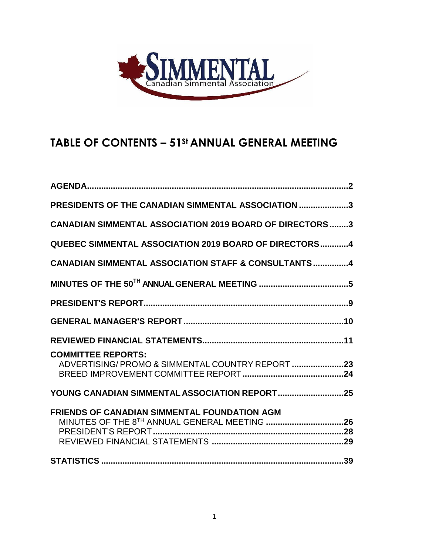

# **TABLE OF CONTENTS – 51St ANNUAL GENERAL MEETING**

| PRESIDENTS OF THE CANADIAN SIMMENTAL ASSOCIATION 3                                                  |
|-----------------------------------------------------------------------------------------------------|
| <b>CANADIAN SIMMENTAL ASSOCIATION 2019 BOARD OF DIRECTORS 3</b>                                     |
| QUEBEC SIMMENTAL ASSOCIATION 2019 BOARD OF DIRECTORS4                                               |
| <b>CANADIAN SIMMENTAL ASSOCIATION STAFF &amp; CONSULTANTS4</b>                                      |
|                                                                                                     |
|                                                                                                     |
|                                                                                                     |
|                                                                                                     |
| <b>COMMITTEE REPORTS:</b><br>ADVERTISING/PROMO & SIMMENTAL COUNTRY REPORT 23                        |
| YOUNG CANADIAN SIMMENTAL ASSOCIATION REPORT25                                                       |
| <b>FRIENDS OF CANADIAN SIMMENTAL FOUNDATION AGM</b><br>MINUTES OF THE 8TH ANNUAL GENERAL MEETING 26 |
|                                                                                                     |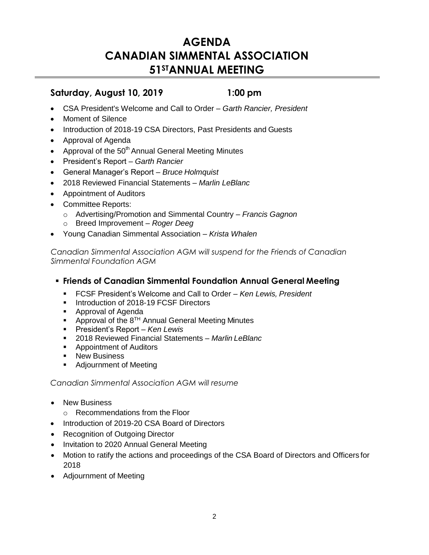# **AGENDA CANADIAN SIMMENTAL ASSOCIATION 51STANNUAL MEETING**

## **Saturday, August 10, 2019 1:00 pm**

- CSA President's Welcome and Call to Order *Garth Rancier, President*
- Moment of Silence
- Introduction of 2018-19 CSA Directors, Past Presidents and Guests
- Approval of Agenda
- Approval of the  $50<sup>th</sup>$  Annual General Meeting Minutes
- President's Report *Garth Rancier*
- General Manager's Report *Bruce Holmquist*
- 2018 Reviewed Financial Statements *Marlin LeBlanc*
- Appointment of Auditors
- Committee Reports:
	- o Advertising/Promotion and Simmental Country *Francis Gagnon*
	- o Breed Improvement *Roger Deeg*
- Young Canadian Simmental Association *Krista Whalen*

*Canadian Simmental Association AGM will suspend for the Friends of Canadian Simmental Foundation AGM*

## ▪ **Friends of Canadian Simmental Foundation Annual General Meeting**

- FCSF President's Welcome and Call to Order *Ken Lewis, President*
- **■** Introduction of 2018-19 FCSF Directors
- Approval of Agenda
- **•** Approval of the  $8^{TH}$  Annual General Meeting Minutes
- President's Report *Ken Lewis*
- 2018 Reviewed Financial Statements *Marlin LeBlanc*
- Appointment of Auditors
- New Business
- Adjournment of Meeting

*Canadian Simmental Association AGM will resume*

- New Business
	- o Recommendations from the Floor
- Introduction of 2019-20 CSA Board of Directors
- Recognition of Outgoing Director
- Invitation to 2020 Annual General Meeting
- Motion to ratify the actions and proceedings of the CSA Board of Directors and Officers for 2018
- Adjournment of Meeting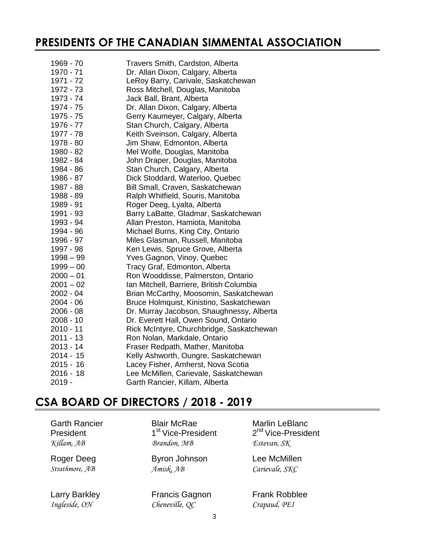# **PRESIDENTS OF THE CANADIAN SIMMENTAL ASSOCIATION**

| 1969 - 70   | Travers Smith, Cardston, Alberta          |
|-------------|-------------------------------------------|
| 1970 - 71   | Dr. Allan Dixon, Calgary, Alberta         |
| 1971 - 72   | LeRoy Barry, Carivale, Saskatchewan       |
| 1972 - 73   | Ross Mitchell, Douglas, Manitoba          |
| 1973 - 74   | Jack Ball, Brant, Alberta                 |
| 1974 - 75   | Dr. Allan Dixon, Calgary, Alberta         |
| 1975 - 75   | Gerry Kaumeyer, Calgary, Alberta          |
| 1976 - 77   | Stan Church, Calgary, Alberta             |
| 1977 - 78   | Keith Sveinson, Calgary, Alberta          |
| 1978 - 80   | Jim Shaw, Edmonton, Alberta               |
| 1980 - 82   | Mel Wolfe, Douglas, Manitoba              |
| 1982 - 84   | John Draper, Douglas, Manitoba            |
| 1984 - 86   | Stan Church, Calgary, Alberta             |
| 1986 - 87   | Dick Stoddard, Waterloo, Quebec           |
| 1987 - 88   | Bill Small, Craven, Saskatchewan          |
| 1988 - 89   | Ralph Whitfield, Souris, Manitoba         |
| 1989 - 91   | Roger Deeg, Lyalta, Alberta               |
| 1991 - 93   | Barry LaBatte, Gladmar, Saskatchewan      |
| 1993 - 94   | Allan Preston, Hamiota, Manitoba          |
| 1994 - 96   | Michael Burns, King City, Ontario         |
| 1996 - 97   | Miles Glasman, Russell, Manitoba          |
| 1997 - 98   | Ken Lewis, Spruce Grove, Alberta          |
| $1998 - 99$ | Yves Gagnon, Vinoy, Quebec                |
| $1999 - 00$ | Tracy Graf, Edmonton, Alberta             |
| $2000 - 01$ | Ron Wooddisse, Palmerston, Ontario        |
| $2001 - 02$ | Ian Mitchell, Barriere, British Columbia  |
| $2002 - 04$ | Brian McCarthy, Moosomin, Saskatchewan    |
| $2004 - 06$ | Bruce Holmquist, Kinistino, Saskatchewan  |
| $2006 - 08$ | Dr. Murray Jacobson, Shaughnessy, Alberta |
| $2008 - 10$ | Dr. Everett Hall, Owen Sound, Ontario     |
| 2010 - 11   | Rick McIntyre, Churchbridge, Saskatchewan |
| 2011 - 13   | Ron Nolan, Markdale, Ontario              |
| 2013 - 14   | Fraser Redpath, Mather, Manitoba          |
| 2014 - 15   | Kelly Ashworth, Oungre, Saskatchewan      |
| $2015 - 16$ | Lacey Fisher, Amherst, Nova Scotia        |
| $2016 - 18$ | Lee McMillen, Carievale, Saskatchewan     |
| $2019 -$    | Garth Rancier, Killam, Alberta            |
|             |                                           |

# **CSA BOARD OF DIRECTORS / 2018 - 2019**

Garth Rancier President

1<sup>st</sup> Vice-President *Killam, AB Brandon, MB Estevan, SK*

Roger Deeg Byron Johnson Amisk, AB *Strathmore, AB Amisk, AB* Gagnon *Carievale, SKC*

Larry Barkley **Francis Gagnon** Frank Robblee *Ingleside, ON Cheneville, QC Crapaud, PEI* 

Blair McRae Marlin LeBlanc 2<sup>nd</sup> Vice-President

Lee McMillen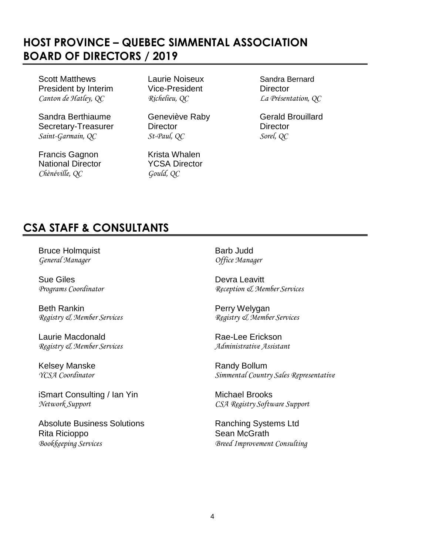# **HOST PROVINCE – QUEBEC SIMMENTAL ASSOCIATION BOARD OF DIRECTORS / 2019**

Scott Matthews **Laurie Noiseux** Sandra Bernard President by Interim Vice-President Director *Canton de Hatley, QC Richelieu, QC La Présentation, QC*

Sandra Berthiaume **Geneviève Raby** Gerald Brouillard Secretary-Treasurer Director Director Director *Saint-Garmain, QC St-Paul, QC Sorel, QC*

Francis Gagnon Krista Whalen National Director **YCSA Director** *Chènéville, QC Gould, QC*

# **CSA STAFF & CONSULTANTS**

Bruce Holmquist **Barb Judd** *General Manager Office Manager*

Sue Giles<br> *Programs Coordinator*<br> *Programs Coordinator*<br> *Programs Coordinator* 

Beth Rankin **Perry Welygan** 

Laurie Macdonald **Rae-Lee Erickson** *Registry & Member Services Administrative Assistant*

Kelsey Manske **Randy Bollum** 

iSmart Consulting / Ian Yin Michael Brooks *Network Support CSA Registry Software Support*

Absolute Business Solutions **Ranching Systems Ltd** Rita Ricioppo Sean McGrath *Bookkeeping Services Breed Improvement Consulting*

*Programs Coordinator Reception & Member Services*

*Registry & Member Services Registry & Member Services*

*YCSA Coordinator Simmental Country Sales Representative*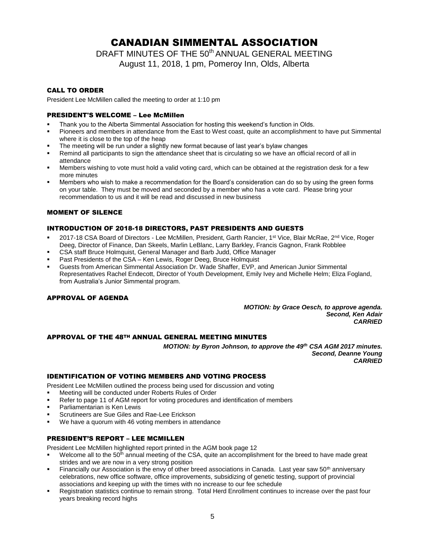# CANADIAN SIMMENTAL ASSOCIATION

DRAFT MINUTES OF THE 50<sup>th</sup> ANNUAL GENERAL MEETING

August 11, 2018, 1 pm, Pomeroy Inn, Olds, Alberta

## CALL TO ORDER

President Lee McMillen called the meeting to order at 1:10 pm

## PRESIDENT'S WELCOME – Lee McMillen

- Thank you to the Alberta Simmental Association for hosting this weekend's function in Olds.
- Pioneers and members in attendance from the East to West coast, quite an accomplishment to have put Simmental where it is close to the top of the heap
- The meeting will be run under a slightly new format because of last year's bylaw changes
- Remind all participants to sign the attendance sheet that is circulating so we have an official record of all in attendance
- Members wishing to vote must hold a valid voting card, which can be obtained at the registration desk for a few more minutes
- Members who wish to make a recommendation for the Board's consideration can do so by using the green forms on your table. They must be moved and seconded by a member who has a vote card. Please bring your recommendation to us and it will be read and discussed in new business

## MOMENT OF SILENCE

## INTRODUCTION OF 2018-18 DIRECTORS, PAST PRESIDENTS AND GUESTS

- 2017-18 CSA Board of Directors Lee McMillen, President, Garth Rancier, 1<sup>st</sup> Vice, Blair McRae, 2<sup>nd</sup> Vice, Roger Deeg, Director of Finance, Dan Skeels, Marlin LeBlanc, Larry Barkley, Francis Gagnon, Frank Robblee
- CSA staff Bruce Holmquist, General Manager and Barb Judd, Office Manager
- Past Presidents of the CSA Ken Lewis, Roger Deeg, Bruce Holmquist
- Guests from American Simmental Association Dr. Wade Shaffer, EVP, and American Junior Simmental Representatives Rachel Endecott, Director of Youth Development, Emily Ivey and Michelle Helm; Eliza Fogland, from Australia's Junior Simmental program.

## APPROVAL OF AGENDA

*MOTION: by Grace Oesch, to approve agenda. Second, Ken Adair CARRIED*

## APPROVAL OF THE 48TH ANNUAL GENERAL MEETING MINUTES

*MOTION: by Byron Johnson, to approve the 49th CSA AGM 2017 minutes. Second, Deanne Young CARRIED*

### IDENTIFICATION OF VOTING MEMBERS AND VOTING PROCESS

President Lee McMillen outlined the process being used for discussion and voting

- Meeting will be conducted under Roberts Rules of Order
- Refer to page 11 of AGM report for voting procedures and identification of members
- Parliamentarian is Ken Lewis
- Scrutineers are Sue Giles and Rae-Lee Erickson
- We have a quorum with 46 voting members in attendance

## PRESIDENT'S REPORT – LEE MCMILLEN

President Lee McMillen highlighted report printed in the AGM book page 12

- Welcome all to the  $50<sup>th</sup>$  annual meeting of the CSA, quite an accomplishment for the breed to have made great strides and we are now in a very strong position
- Financially our Association is the envy of other breed associations in Canada. Last year saw 50<sup>th</sup> anniversary celebrations, new office software, office improvements, subsidizing of genetic testing, support of provincial associations and keeping up with the times with no increase to our fee schedule
- Registration statistics continue to remain strong. Total Herd Enrollment continues to increase over the past four years breaking record highs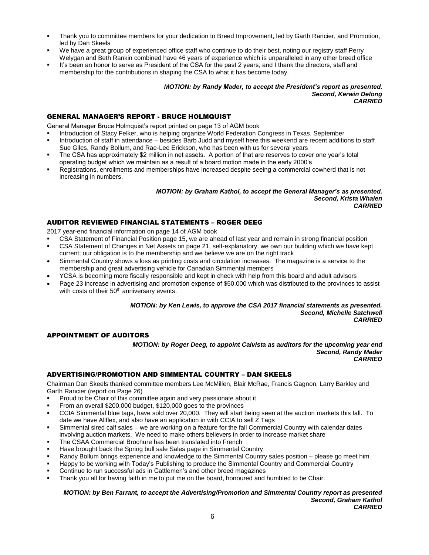- Thank you to committee members for your dedication to Breed Improvement, led by Garth Rancier, and Promotion, led by Dan Skeels
- We have a great group of experienced office staff who continue to do their best, noting our registry staff Perry Welygan and Beth Rankin combined have 46 years of experience which is unparalleled in any other breed office
- It's been an honor to serve as President of the CSA for the past 2 years, and I thank the directors, staff and membership for the contributions in shaping the CSA to what it has become today.

#### *MOTION: by Randy Mader, to accept the President's report as presented. Second, Kerwin Delong CARRIED*

## GENERAL MANAGER'S REPORT - BRUCE HOLMQUIST

General Manager Bruce Holmquist's report printed on page 13 of AGM book

- Introduction of Stacy Felker, who is helping organize World Federation Congress in Texas, September
- Introduction of staff in attendance besides Barb Judd and myself here this weekend are recent additions to staff Sue Giles, Randy Bollum, and Rae-Lee Erickson, who has been with us for several years
- The CSA has approximately \$2 million in net assets. A portion of that are reserves to cover one year's total operating budget which we maintain as a result of a board motion made in the early 2000's
- Registrations, enrollments and memberships have increased despite seeing a commercial cowherd that is not increasing in numbers.

#### *MOTION: by Graham Kathol, to accept the General Manager's as presented. Second, Krista Whalen CARRIED*

## AUDITOR REVIEWED FINANCIAL STATEMENTS – ROGER DEEG

2017 year-end financial information on page 14 of AGM book

- CSA Statement of Financial Position page 15, we are ahead of last year and remain in strong financial position
- CSA Statement of Changes in Net Assets on page 21, self-explanatory, we own our building which we have kept current; our obligation is to the membership and we believe we are on the right track
- Simmental Country shows a loss as printing costs and circulation increases. The magazine is a service to the membership and great advertising vehicle for Canadian Simmental members
- YCSA is becoming more fiscally responsible and kept in check with help from this board and adult advisors
- Page 23 increase in advertising and promotion expense of \$50,000 which was distributed to the provinces to assist with costs of their 50<sup>th</sup> anniversary events.

#### *MOTION: by Ken Lewis, to approve the CSA 2017 financial statements as presented. Second, Michelle Satchwell CARRIED*

## APPOINTMENT OF AUDITORS

*MOTION: by Roger Deeg, to appoint Calvista as auditors for the upcoming year end Second, Randy Mader CARRIED*

## ADVERTISING/PROMOTION AND SIMMENTAL COUNTRY – DAN SKEELS

Chairman Dan Skeels thanked committee members Lee McMillen, Blair McRae, Francis Gagnon, Larry Barkley and Garth Rancier (report on Page 26)

- Proud to be Chair of this committee again and very passionate about it
- From an overall \$200,000 budget, \$120,000 goes to the provinces
- CCIA Simmental blue tags, have sold over 20,000. They will start being seen at the auction markets this fall. To date we have Allflex, and also have an application in with CCIA to sell Z Tags
- Simmental sired calf sales we are working on a feature for the fall Commercial Country with calendar dates involving auction markets. We need to make others believers in order to increase market share
- The CSAA Commercial Brochure has been translated into French
- Have brought back the Spring bull sale Sales page in Simmental Country
- Randy Bollum brings experience and knowledge to the Simmental Country sales position please go meet him
- Happy to be working with Today's Publishing to produce the Simmental Country and Commercial Country
- Continue to run successful ads in Cattlemen's and other breed magazines
- Thank you all for having faith in me to put me on the board, honoured and humbled to be Chair.

#### *MOTION: by Ben Farrant, to accept the Advertising/Promotion and Simmental Country report as presented Second, Graham Kathol CARRIED*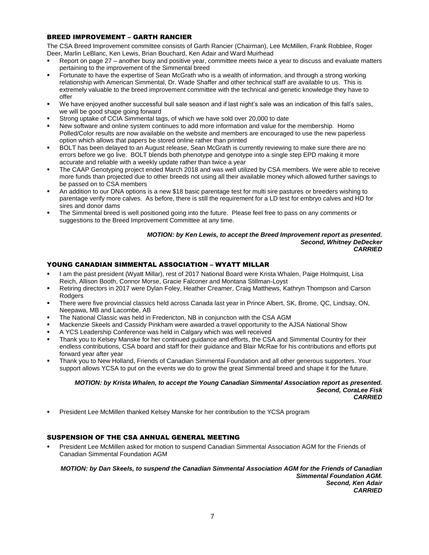## BREED IMPROVEMENT – GARTH RANCIER

The CSA Breed Improvement committee consists of Garth Rancier (Chairman), Lee McMillen, Frank Robblee, Roger Deer, Marlin LeBlanc, Ken Lewis, Brian Bouchard, Ken Adair and Ward Muirhead

- Report on page 27 another busy and positive year, committee meets twice a year to discuss and evaluate matters pertaining to the improvement of the Simmental breed
- Fortunate to have the expertise of Sean McGrath who is a wealth of information, and through a strong working relationship with American Simmental, Dr. Wade Shaffer and other technical staff are available to us. This is extremely valuable to the breed improvement committee with the technical and genetic knowledge they have to offer
- We have enjoyed another successful bull sale season and if last night's sale was an indication of this fall's sales, we will be good shape going forward
- Strong uptake of CCIA Simmental tags, of which we have sold over 20,000 to date
- New software and online system continues to add more information and value for the membership. Homo Polled/Color results are now available on the website and members are encouraged to use the new paperless option which allows that papers be stored online rather than printed
- BOLT has been delayed to an August release, Sean McGrath is currently reviewing to make sure there are no errors before we go live. BOLT blends both phenotype and genotype into a single step EPD making it more accurate and reliable with a weekly update rather than twice a year
- The CAAP Genotyping project ended March 2018 and was well utilized by CSA members. We were able to receive more funds than projected due to other breeds not using all their available money which allowed further savings to be passed on to CSA members
- An addition to our DNA options is a new \$18 basic parentage test for multi sire pastures or breeders wishing to parentage verify more calves. As before, there is still the requirement for a LD test for embryo calves and HD for sires and donor dams
- The Simmental breed is well positioned going into the future. Please feel free to pass on any comments or suggestions to the Breed Improvement Committee at any time.

#### *MOTION: by Ken Lewis, to accept the Breed Improvement report as presented. Second, Whitney DeDecker CARRIED*

## YOUNG CANADIAN SIMMENTAL ASSOCIATION – WYATT MILLAR

- I am the past president (Wyatt Millar), rest of 2017 National Board were Krista Whalen, Paige Holmquist, Lisa Reich, Allison Booth, Connor Morse, Gracie Falconer and Montana Stillman-Loyst
- Retiring directors in 2017 were Dylan Foley, Heather Creamer, Craig Matthews, Kathryn Thompson and Carson Rodgers
- There were five provincial classics held across Canada last year in Prince Albert, SK, Brome, QC, Lindsay, ON, Neepawa, MB and Lacombe, AB
- The National Classic was held in Fredericton, NB in conjunction with the CSA AGM
- Mackenzie Skeels and Cassidy Pinkham were awarded a travel opportunity to the AJSA National Show
- A YCS Leadership Conference was held in Calgary which was well received
- Thank you to Kelsey Manske for her continued guidance and efforts, the CSA and Simmental Country for their endless contributions, CSA board and staff for their guidance and Blair McRae for his contributions and efforts put forward year after year
- Thank you to New Holland, Friends of Canadian Simmental Foundation and all other generous supporters. Your support allows YCSA to put on the events we do to grow the great Simmental breed and shape it for the future.

#### *MOTION: by Krista Whalen, to accept the Young Canadian Simmental Association report as presented. Second, CoraLee Fisk CARRIED*

President Lee McMillen thanked Kelsey Manske for her contribution to the YCSA program

## SUSPENSION OF THE CSA ANNUAL GENERAL MEETING

President Lee McMillen asked for motion to suspend Canadian Simmental Association AGM for the Friends of Canadian Simmental Foundation AGM

*MOTION: by Dan Skeels, to suspend the Canadian Simmental Association AGM for the Friends of Canadian Simmental Foundation AGM. Second, Ken Adair CARRIED*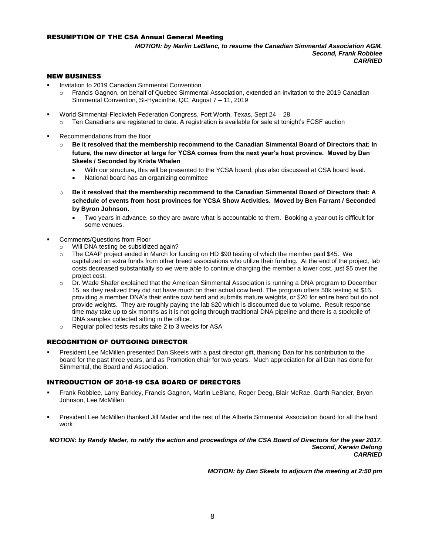## RESUMPTION OF THE CSA Annual General Meeting

*MOTION: by Marlin LeBlanc, to resume the Canadian Simmental Association AGM. Second, Frank Robblee CARRIED*

#### NEW BUSINESS

- Invitation to 2019 Canadian Simmental Convention
	- o Francis Gagnon, on behalf of Quebec Simmental Association, extended an invitation to the 2019 Canadian Simmental Convention, St-Hyacinthe, QC, August 7 – 11, 2019
- World Simmental-Fleckvieh Federation Congress, Fort Worth, Texas, Sept 24 28
	- $\circ$  Ten Canadians are registered to date. A registration is available for sale at tonight's FCSF auction
- Recommendations from the floor
	- o **Be it resolved that the membership recommend to the Canadian Simmental Board of Directors that: In future, the new director at large for YCSA comes from the next year's host province. Moved by Dan Skeels / Seconded by Krista Whalen** 
		- With our structure, this will be presented to the YCSA board, plus also discussed at CSA board level.
		- National board has an organizing committee
	- o **Be it resolved that the membership recommend to the Canadian Simmental Board of Directors that: A schedule of events from host provinces for YCSA Show Activities. Moved by Ben Farrant / Seconded by Byron Johnson.** 
		- Two years in advance, so they are aware what is accountable to them. Booking a year out is difficult for some venues.
- Comments/Questions from Floor
	- o Will DNA testing be subsidized again?
	- o The CAAP project ended in March for funding on HD \$90 testing of which the member paid \$45. We capitalized on extra funds from other breed associations who utilize their funding. At the end of the project, lab costs decreased substantially so we were able to continue charging the member a lower cost, just \$5 over the project cost.
	- Dr. Wade Shafer explained that the American Simmental Association is running a DNA program to December 15, as they realized they did not have much on their actual cow herd. The program offers 50k testing at \$15, providing a member DNA's their entire cow herd and submits mature weights, or \$20 for entire herd but do not provide weights. They are roughly paying the lab \$20 which is discounted due to volume. Result response time may take up to six months as it is not going through traditional DNA pipeline and there is a stockpile of DNA samples collected sitting in the office.
	- o Regular polled tests results take 2 to 3 weeks for ASA

## RECOGNITION OF OUTGOING DIRECTOR

President Lee McMillen presented Dan Skeels with a past director gift, thanking Dan for his contribution to the board for the past three years, and as Promotion chair for two years. Much appreciation for all Dan has done for Simmental, the Board and Association.

## INTRODUCTION OF 2018-19 CSA BOARD OF DIRECTORS

- Frank Robblee, Larry Barkley, Francis Gagnon, Marlin LeBlanc, Roger Deeg, Blair McRae, Garth Rancier, Bryon Johnson, Lee McMillen
- President Lee McMillen thanked Jill Mader and the rest of the Alberta Simmental Association board for all the hard work

#### *MOTION: by Randy Mader, to ratify the action and proceedings of the CSA Board of Directors for the year 2017. Second, Kerwin Delong CARRIED*

*MOTION: by Dan Skeels to adjourn the meeting at 2:50 pm*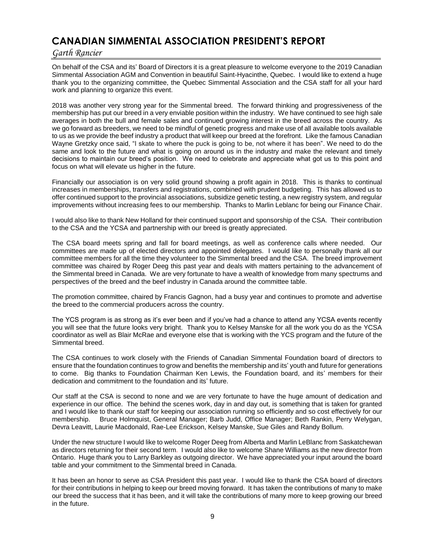# **CANADIAN SIMMENTAL ASSOCIATION PRESIDENT'S REPORT**

## *Garth Rancier*

On behalf of the CSA and its' Board of Directors it is a great pleasure to welcome everyone to the 2019 Canadian Simmental Association AGM and Convention in beautiful Saint-Hyacinthe, Quebec. I would like to extend a huge thank you to the organizing committee, the Quebec Simmental Association and the CSA staff for all your hard work and planning to organize this event.

2018 was another very strong year for the Simmental breed. The forward thinking and progressiveness of the membership has put our breed in a very enviable position within the industry. We have continued to see high sale averages in both the bull and female sales and continued growing interest in the breed across the country. As we go forward as breeders, we need to be mindful of genetic progress and make use of all available tools available to us as we provide the beef industry a product that will keep our breed at the forefront. Like the famous Canadian Wayne Gretzky once said, "I skate to where the puck is going to be, not where it has been". We need to do the same and look to the future and what is going on around us in the industry and make the relevant and timely decisions to maintain our breed's position. We need to celebrate and appreciate what got us to this point and focus on what will elevate us higher in the future.

Financially our association is on very solid ground showing a profit again in 2018. This is thanks to continual increases in memberships, transfers and registrations, combined with prudent budgeting. This has allowed us to offer continued support to the provincial associations, subsidize genetic testing, a new registry system, and regular improvements without increasing fees to our membership. Thanks to Marlin Leblanc for being our Finance Chair.

I would also like to thank New Holland for their continued support and sponsorship of the CSA. Their contribution to the CSA and the YCSA and partnership with our breed is greatly appreciated.

The CSA board meets spring and fall for board meetings, as well as conference calls where needed. Our committees are made up of elected directors and appointed delegates. I would like to personally thank all our committee members for all the time they volunteer to the Simmental breed and the CSA. The breed improvement committee was chaired by Roger Deeg this past year and deals with matters pertaining to the advancement of the Simmental breed in Canada. We are very fortunate to have a wealth of knowledge from many spectrums and perspectives of the breed and the beef industry in Canada around the committee table.

The promotion committee, chaired by Francis Gagnon, had a busy year and continues to promote and advertise the breed to the commercial producers across the country.

The YCS program is as strong as it's ever been and if you've had a chance to attend any YCSA events recently you will see that the future looks very bright. Thank you to Kelsey Manske for all the work you do as the YCSA coordinator as well as Blair McRae and everyone else that is working with the YCS program and the future of the Simmental breed.

The CSA continues to work closely with the Friends of Canadian Simmental Foundation board of directors to ensure that the foundation continues to grow and benefits the membership and its' youth and future for generations to come. Big thanks to Foundation Chairman Ken Lewis, the Foundation board, and its' members for their dedication and commitment to the foundation and its' future.

Our staff at the CSA is second to none and we are very fortunate to have the huge amount of dedication and experience in our office. The behind the scenes work, day in and day out, is something that is taken for granted and I would like to thank our staff for keeping our association running so efficiently and so cost effectively for our membership. Bruce Holmquist, General Manager; Barb Judd, Office Manager; Beth Rankin, Perry Welygan, Devra Leavitt, Laurie Macdonald, Rae-Lee Erickson, Kelsey Manske, Sue Giles and Randy Bollum.

Under the new structure I would like to welcome Roger Deeg from Alberta and Marlin LeBlanc from Saskatchewan as directors returning for their second term. I would also like to welcome Shane Williams as the new director from Ontario. Huge thank you to Larry Barkley as outgoing director. We have appreciated your input around the board table and your commitment to the Simmental breed in Canada.

It has been an honor to serve as CSA President this past year. I would like to thank the CSA board of directors for their contributions in helping to keep our breed moving forward. It has taken the contributions of many to make our breed the success that it has been, and it will take the contributions of many more to keep growing our breed in the future.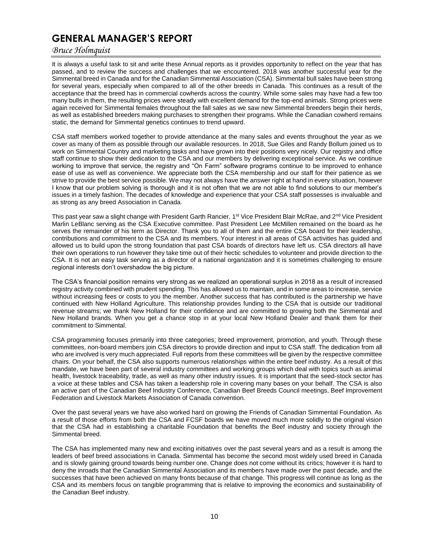# **GENERAL MANAGER'S REPORT**

## *Bruce Holmquist*

It is always a useful task to sit and write these Annual reports as it provides opportunity to reflect on the year that has passed, and to review the success and challenges that we encountered. 2018 was another successful year for the Simmental breed in Canada and for the Canadian Simmental Association (CSA). Simmental bull sales have been strong for several years, especially when compared to all of the other breeds in Canada. This continues as a result of the acceptance that the breed has in commercial cowherds across the country. While some sales may have had a few too many bulls in them, the resulting prices were steady with excellent demand for the top-end animals. Strong prices were again received for Simmental females throughout the fall sales as we saw new Simmental breeders begin their herds, as well as established breeders making purchases to strengthen their programs. While the Canadian cowherd remains static, the demand for Simmental genetics continues to trend upward.

CSA staff members worked together to provide attendance at the many sales and events throughout the year as we cover as many of them as possible through our available resources. In 2018, Sue Giles and Randy Bollum joined us to work on Simmental Country and marketing tasks and have grown into their positions very nicely. Our registry and office staff continue to show their dedication to the CSA and our members by delivering exceptional service. As we continue working to improve that service, the registry and "On Farm" software programs continue to be improved to enhance ease of use as well as convenience. We appreciate both the CSA membership and our staff for their patience as we strive to provide the best service possible. We may not always have the answer right at hand in every situation, however I know that our problem solving is thorough and it is not often that we are not able to find solutions to our member's issues in a timely fashion. The decades of knowledge and experience that your CSA staff possesses is invaluable and as strong as any breed Association in Canada.

This past year saw a slight change with President Garth Rancier, 1<sup>st</sup> Vice President Blair McRae, and 2<sup>nd</sup> Vice President Marlin LeBlanc serving as the CSA Executive committee. Past President Lee McMillen remained on the board as he serves the remainder of his term as Director. Thank you to all of them and the entire CSA board for their leadership, contributions and commitment to the CSA and its members. Your interest in all areas of CSA activities has guided and allowed us to build upon the strong foundation that past CSA boards of directors have left us. CSA directors all have their own operations to run however they take time out of their hectic schedules to volunteer and provide direction to the CSA. It is not an easy task serving as a director of a national organization and it is sometimes challenging to ensure regional interests don't overshadow the big picture.

The CSA's financial position remains very strong as we realized an operational surplus in 2018 as a result of increased registry activity combined with prudent spending. This has allowed us to maintain, and in some areas to increase, service without increasing fees or costs to you the member. Another success that has contributed is the partnership we have continued with New Holland Agriculture. This relationship provides funding to the CSA that is outside our traditional revenue streams; we thank New Holland for their confidence and are committed to growing both the Simmental and New Holland brands. When you get a chance stop in at your local New Holland Dealer and thank them for their commitment to Simmental.

CSA programming focuses primarily into three categories; breed improvement, promotion, and youth. Through these committees, non-board members join CSA directors to provide direction and input to CSA staff. The dedication from all who are involved is very much appreciated. Full reports from these committees will be given by the respective committee chairs. On your behalf, the CSA also supports numerous relationships within the entire beef industry. As a result of this mandate, we have been part of several industry committees and working groups which deal with topics such as animal health, livestock traceability, trade, as well as many other industry issues. It is important that the seed-stock sector has a voice at these tables and CSA has taken a leadership role in covering many bases on your behalf. The CSA is also an active part of the Canadian Beef Industry Conference, Canadian Beef Breeds Council meetings, Beef Improvement Federation and Livestock Markets Association of Canada convention.

Over the past several years we have also worked hard on growing the Friends of Canadian Simmental Foundation. As a result of those efforts from both the CSA and FCSF boards we have moved much more solidly to the original vision that the CSA had in establishing a charitable Foundation that benefits the Beef industry and society through the Simmental breed.

The CSA has implemented many new and exciting initiatives over the past several years and as a result is among the leaders of beef breed associations in Canada. Simmental has become the second most widely used breed in Canada and is slowly gaining ground towards being number one. Change does not come without its critics; however it is hard to deny the inroads that the Canadian Simmental Association and its members have made over the past decade, and the successes that have been achieved on many fronts because of that change. This progress will continue as long as the CSA and its members focus on tangible programming that is relative to improving the economics and sustainability of the Canadian Beef industry.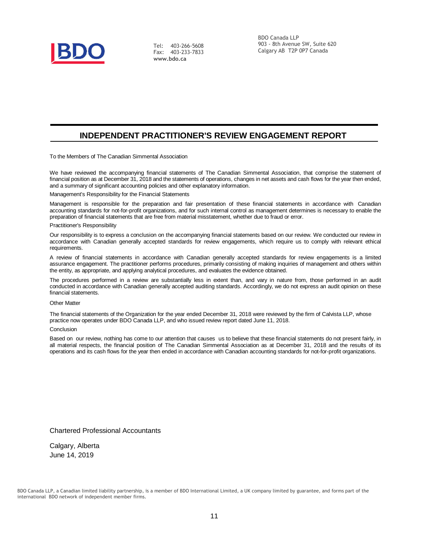

Tel: 403-266-5608 Fax: 403-233-7833 **[www.bdo.ca](http://www.bdo.ca/)**

BDO Canada LLP 903 - 8th Avenue SW, Suite 620 Calgary AB T2P 0P7 Canada

## **INDEPENDENT PRACTITIONER'S REVIEW ENGAGEMENT REPORT**

To the Members of The Canadian Simmental Association

We have reviewed the accompanying financial statements of The Canadian Simmental Association, that comprise the statement of financial position as at December 31, 2018 and the statements of operations, changes in net assets and cash flows for the year then ended, and a summary of significant accounting policies and other explanatory information.

#### Management's Responsibility for the Financial Statements

Management is responsible for the preparation and fair presentation of these financial statements in accordance with Canadian accounting standards for not-for-profit organizations, and for such internal control as management determines is necessary to enable the preparation of financial statements that are free from material misstatement, whether due to fraud or error.

#### Practitioner's Responsibility

Our responsibility is to express a conclusion on the accompanying financial statements based on our review. We conducted our review in accordance with Canadian generally accepted standards for review engagements, which require us to comply with relevant ethical requirements.

A review of financial statements in accordance with Canadian generally accepted standards for review engagements is a limited assurance engagement. The practitioner performs procedures, primarily consisting of making inquiries of management and others within the entity, as appropriate, and applying analytical procedures, and evaluates the evidence obtained.

The procedures performed in a review are substantially less in extent than, and vary in nature from, those performed in an audit conducted in accordance with Canadian generally accepted auditing standards. Accordingly, we do not express an audit opinion on these financial statements.

#### Other Matter

The financial statements of the Organization for the year ended December 31, 2018 were reviewed by the firm of Calvista LLP, whose practice now operates under BDO Canada LLP, and who issued review report dated June 11, 2018.

#### Conclusion

Based on our review, nothing has come to our attention that causes us to believe that these financial statements do not present fairly, in all material respects, the financial position of The Canadian Simmental Association as at December 31, 2018 and the results of its operations and its cash flows for the year then ended in accordance with Canadian accounting standards for not-for-profit organizations.

Chartered Professional Accountants

Calgary, Alberta June 14, 2019

BDO Canada LLP, a Canadian limited liability partnership, is a member of BDO International Limited, a UK company limited by guarantee, and forms part of the international BDO network of independent member firms.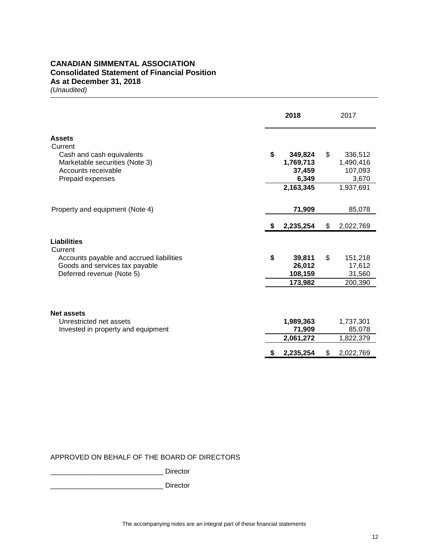## **CANADIAN SIMMENTAL ASSOCIATION Consolidated Statement of Financial Position As at December 31, 2018**

*(Unaudited)*

|                                          |    | 2018               |    | 2017               |
|------------------------------------------|----|--------------------|----|--------------------|
| <b>Assets</b><br>Current                 |    |                    |    |                    |
| Cash and cash equivalents                | \$ | 349,824            | \$ | 336,512            |
| Marketable securities (Note 3)           |    | 1,769,713          |    | 1,490,416          |
| Accounts receivable                      |    | 37,459             |    | 107,093            |
| Prepaid expenses                         |    | 6,349<br>2,163,345 |    | 3,670<br>1,937,691 |
|                                          |    |                    |    |                    |
| Property and equipment (Note 4)          |    | 71,909             |    | 85,078             |
|                                          |    |                    |    |                    |
|                                          | S. | 2,235,254          | \$ | 2,022,769          |
| <b>Liabilities</b>                       |    |                    |    |                    |
| Current                                  |    |                    |    |                    |
| Accounts payable and accrued liabilities | \$ | 39,811             | \$ | 151,218            |
| Goods and services tax payable           |    | 26,012             |    | 17,612             |
| Deferred revenue (Note 5)                |    | 108,159            |    | 31,560             |
|                                          |    | 173,982            |    | 200,390            |
|                                          |    |                    |    |                    |
| <b>Net assets</b>                        |    |                    |    |                    |
| Unrestricted net assets                  |    | 1,989,363          |    | 1,737,301          |
| Invested in property and equipment       |    | 71,909             |    | 85,078             |
|                                          |    | 2,061,272          |    | 1,822,379          |
|                                          |    | 2,235,254          | S  | 2,022,769          |

## APPROVED ON BEHALF OF THE BOARD OF DIRECTORS

\_\_\_\_\_\_\_\_\_\_\_\_\_\_\_\_\_\_\_\_\_\_\_\_\_\_\_\_\_ Director

\_\_\_\_\_\_\_\_\_\_\_\_\_\_\_\_\_\_\_\_\_\_\_\_\_\_\_\_\_ Director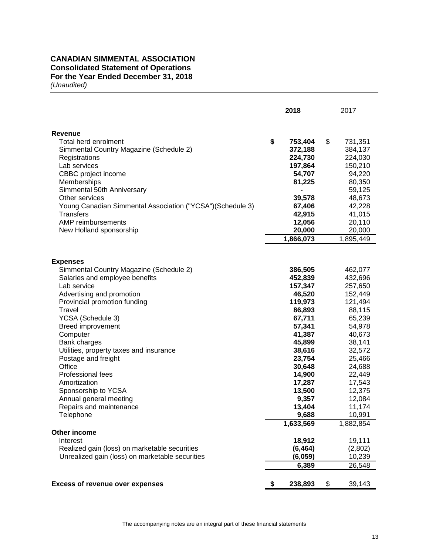## **CANADIAN SIMMENTAL ASSOCIATION Consolidated Statement of Operations For the Year Ended December 31, 2018**  *(Unaudited)*

|                                                            | 2018           | 2017          |
|------------------------------------------------------------|----------------|---------------|
| <b>Revenue</b>                                             |                |               |
| Total herd enrolment                                       | \$<br>753,404  | \$<br>731,351 |
| Simmental Country Magazine (Schedule 2)                    | 372,188        | 384,137       |
| Registrations                                              | 224,730        | 224,030       |
| Lab services                                               | 197,864        | 150,210       |
| CBBC project income                                        | 54,707         | 94,220        |
| Memberships                                                | 81,225         | 80,350        |
| Simmental 50th Anniversary                                 | $\blacksquare$ | 59,125        |
| Other services                                             | 39,578         | 48,673        |
| Young Canadian Simmental Association ("YCSA")(Schedule 3)  | 67,406         | 42,228        |
| <b>Transfers</b>                                           | 42,915         | 41,015        |
| AMP reimbursements                                         | 12,056         | 20,110        |
|                                                            |                |               |
| New Holland sponsorship                                    | 20,000         | 20,000        |
|                                                            | 1,866,073      | 1,895,449     |
|                                                            |                |               |
| <b>Expenses</b><br>Simmental Country Magazine (Schedule 2) | 386,505        | 462,077       |
| Salaries and employee benefits                             | 452,839        | 432,696       |
| Lab service                                                | 157,347        | 257,650       |
| Advertising and promotion                                  | 46,520         | 152,449       |
| Provincial promotion funding                               | 119,973        | 121,494       |
| Travel                                                     | 86,893         | 88,115        |
| YCSA (Schedule 3)                                          | 67,711         | 65,239        |
|                                                            |                |               |
| <b>Breed improvement</b>                                   | 57,341         | 54,978        |
| Computer                                                   | 41,387         | 40,673        |
| Bank charges                                               | 45,899         | 38,141        |
| Utilities, property taxes and insurance                    | 38,616         | 32,572        |
| Postage and freight                                        | 23,754         | 25,466        |
| Office                                                     | 30,648         | 24,688        |
| <b>Professional fees</b>                                   | 14,900         | 22,449        |
| Amortization                                               | 17,287         | 17,543        |
| Sponsorship to YCSA                                        | 13,500         | 12,375        |
| Annual general meeting                                     | 9,357          | 12,084        |
| Repairs and maintenance                                    | 13,404         | 11,174        |
| Telephone                                                  | 9,688          | 10,991        |
|                                                            | 1,633,569      | 1,882,854     |
| Other income                                               |                |               |
| Interest                                                   | 18,912         | 19,111        |
| Realized gain (loss) on marketable securities              | (6, 464)       | (2,802)       |
| Unrealized gain (loss) on marketable securities            | (6,059)        | 10,239        |
|                                                            | 6,389          | 26,548        |
| <b>Excess of revenue over expenses</b>                     | \$<br>238,893  | \$<br>39,143  |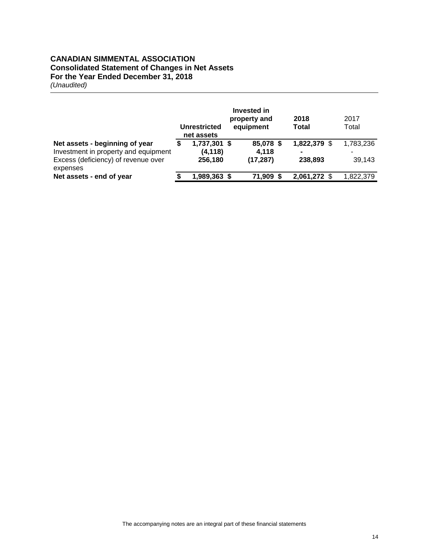## **CANADIAN SIMMENTAL ASSOCIATION Consolidated Statement of Changes in Net Assets For the Year Ended December 31, 2018**  *(Unaudited)*

|                                                                                                                           |   | <b>Unrestricted</b><br>net assets   | Invested in<br>property and<br>equipment | 2018<br>Total           | 2017<br>Total       |
|---------------------------------------------------------------------------------------------------------------------------|---|-------------------------------------|------------------------------------------|-------------------------|---------------------|
| Net assets - beginning of year<br>Investment in property and equipment<br>Excess (deficiency) of revenue over<br>expenses | ъ | 1,737,301 \$<br>(4, 118)<br>256,180 | 85,078 \$<br>4,118<br>(17, 287)          | 1,822,379 \$<br>238,893 | 1,783,236<br>39,143 |
| Net assets - end of year                                                                                                  |   | 1,989,363 \$                        | 71.909                                   | 2,061,272 \$            | 1,822,379           |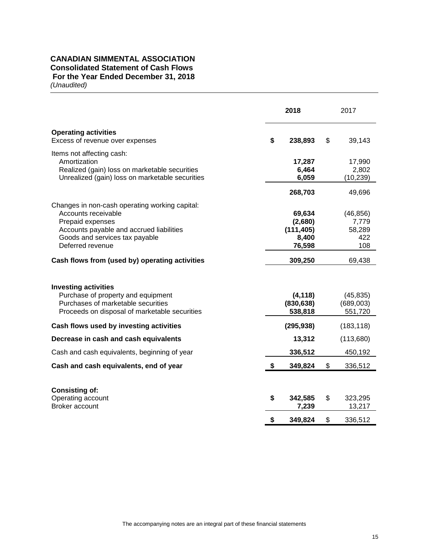## **CANADIAN SIMMENTAL ASSOCIATION Consolidated Statement of Cash Flows For the Year Ended December 31, 2018**  *(Unaudited)*

|                                                                                                                                                                                             | 2018                                               | 2017                                       |
|---------------------------------------------------------------------------------------------------------------------------------------------------------------------------------------------|----------------------------------------------------|--------------------------------------------|
| <b>Operating activities</b><br>Excess of revenue over expenses                                                                                                                              | \$<br>238,893                                      | \$<br>39,143                               |
| Items not affecting cash:<br>Amortization<br>Realized (gain) loss on marketable securities<br>Unrealized (gain) loss on marketable securities                                               | 17,287<br>6,464<br>6,059                           | 17,990<br>2,802<br>(10, 239)               |
|                                                                                                                                                                                             | 268,703                                            | 49,696                                     |
| Changes in non-cash operating working capital:<br>Accounts receivable<br>Prepaid expenses<br>Accounts payable and accrued liabilities<br>Goods and services tax payable<br>Deferred revenue | 69,634<br>(2,680)<br>(111, 405)<br>8,400<br>76,598 | (46, 856)<br>7,779<br>58,289<br>422<br>108 |
| Cash flows from (used by) operating activities                                                                                                                                              | 309,250                                            | 69,438                                     |
| <b>Investing activities</b><br>Purchase of property and equipment<br>Purchases of marketable securities<br>Proceeds on disposal of marketable securities                                    | (4, 118)<br>(830, 638)<br>538,818                  | (45, 835)<br>(689,003)<br>551,720          |
| Cash flows used by investing activities                                                                                                                                                     | (295, 938)                                         | (183, 118)                                 |
| Decrease in cash and cash equivalents                                                                                                                                                       | 13,312                                             | (113,680)                                  |
| Cash and cash equivalents, beginning of year                                                                                                                                                | 336,512                                            | 450,192                                    |
| Cash and cash equivalents, end of year                                                                                                                                                      | \$<br>349,824                                      | \$<br>336,512                              |
| <b>Consisting of:</b><br>Operating account<br>Broker account                                                                                                                                | \$<br>342,585<br>7,239                             | \$<br>323,295<br>13,217                    |
|                                                                                                                                                                                             | \$<br>349,824                                      | \$<br>336,512                              |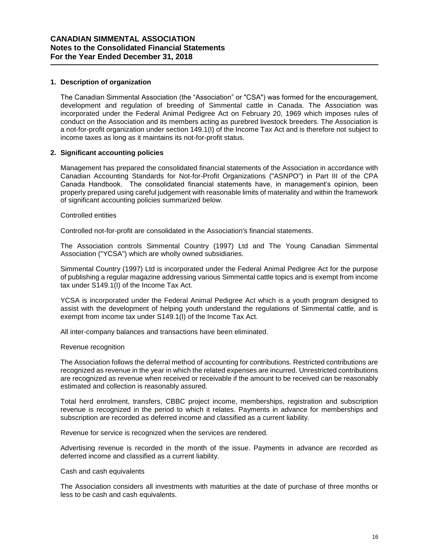## **1. Description of organization**

The Canadian Simmental Association (the "Association" or "CSA") was formed for the encouragement, development and regulation of breeding of Simmental cattle in Canada. The Association was incorporated under the Federal Animal Pedigree Act on February 20, 1969 which imposes rules of conduct on the Association and its members acting as purebred livestock breeders. The Association is a not-for-profit organization under section 149.1(I) of the Income Tax Act and is therefore not subject to income taxes as long as it maintains its not-for-profit status.

## **2. Significant accounting policies**

Management has prepared the consolidated financial statements of the Association in accordance with Canadian Accounting Standards for Not-for-Profit Organizations ("ASNPO") in Part III of the CPA Canada Handbook. The consolidated financial statements have, in management's opinion, been properly prepared using careful judgement with reasonable limits of materiality and within the framework of significant accounting policies summarized below.

## Controlled entities

Controlled not-for-profit are consolidated in the Association's financial statements.

The Association controls Simmental Country (1997) Ltd and The Young Canadian Simmental Association ("YCSA") which are wholly owned subsidiaries.

Simmental Country (1997) Ltd is incorporated under the Federal Animal Pedigree Act for the purpose of publishing a regular magazine addressing various Simmental cattle topics and is exempt from income tax under S149.1(I) of the Income Tax Act.

YCSA is incorporated under the Federal Animal Pedigree Act which is a youth program designed to assist with the development of helping youth understand the regulations of Simmental cattle, and is exempt from income tax under S149.1(I) of the Income Tax Act.

All inter-company balances and transactions have been eliminated.

### Revenue recognition

The Association follows the deferral method of accounting for contributions. Restricted contributions are recognized as revenue in the year in which the related expenses are incurred. Unrestricted contributions are recognized as revenue when received or receivable if the amount to be received can be reasonably estimated and collection is reasonably assured.

Total herd enrolment, transfers, CBBC project income, memberships, registration and subscription revenue is recognized in the period to which it relates. Payments in advance for memberships and subscription are recorded as deferred income and classified as a current liability.

Revenue for service is recognized when the services are rendered.

Advertising revenue is recorded in the month of the issue. Payments in advance are recorded as deferred income and classified as a current liability.

### Cash and cash equivalents

The Association considers all investments with maturities at the date of purchase of three months or less to be cash and cash equivalents.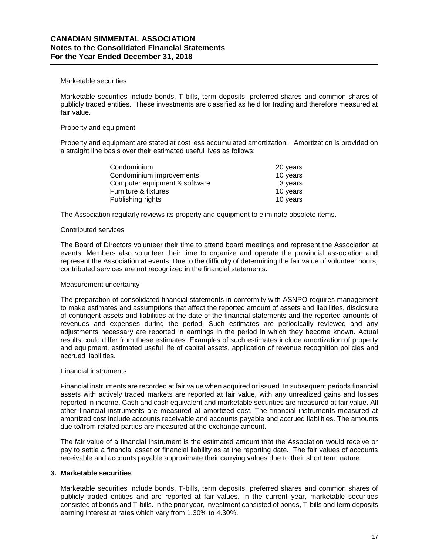## Marketable securities

Marketable securities include bonds, T-bills, term deposits, preferred shares and common shares of publicly traded entities. These investments are classified as held for trading and therefore measured at fair value.

## Property and equipment

Property and equipment are stated at cost less accumulated amortization. Amortization is provided on a straight line basis over their estimated useful lives as follows:

| Condominium                   | 20 years |
|-------------------------------|----------|
| Condominium improvements      | 10 years |
| Computer equipment & software | 3 years  |
| Furniture & fixtures          | 10 years |
| Publishing rights             | 10 years |
|                               |          |

The Association regularly reviews its property and equipment to eliminate obsolete items.

### Contributed services

The Board of Directors volunteer their time to attend board meetings and represent the Association at events. Members also volunteer their time to organize and operate the provincial association and represent the Association at events. Due to the difficulty of determining the fair value of volunteer hours, contributed services are not recognized in the financial statements.

### Measurement uncertainty

The preparation of consolidated financial statements in conformity with ASNPO requires management to make estimates and assumptions that affect the reported amount of assets and liabilities, disclosure of contingent assets and liabilities at the date of the financial statements and the reported amounts of revenues and expenses during the period. Such estimates are periodically reviewed and any adjustments necessary are reported in earnings in the period in which they become known. Actual results could differ from these estimates. Examples of such estimates include amortization of property and equipment, estimated useful life of capital assets, application of revenue recognition policies and accrued liabilities.

## Financial instruments

Financial instruments are recorded at fair value when acquired or issued. In subsequent periods financial assets with actively traded markets are reported at fair value, with any unrealized gains and losses reported in income. Cash and cash equivalent and marketable securities are measured at fair value. All other financial instruments are measured at amortized cost. The financial instruments measured at amortized cost include accounts receivable and accounts payable and accrued liabilities. The amounts due to/from related parties are measured at the exchange amount.

The fair value of a financial instrument is the estimated amount that the Association would receive or pay to settle a financial asset or financial liability as at the reporting date. The fair values of accounts receivable and accounts payable approximate their carrying values due to their short term nature.

## **3. Marketable securities**

Marketable securities include bonds, T-bills, term deposits, preferred shares and common shares of publicly traded entities and are reported at fair values. In the current year, marketable securities consisted of bonds and T-bills. In the prior year, investment consisted of bonds, T-bills and term deposits earning interest at rates which vary from 1.30% to 4.30%.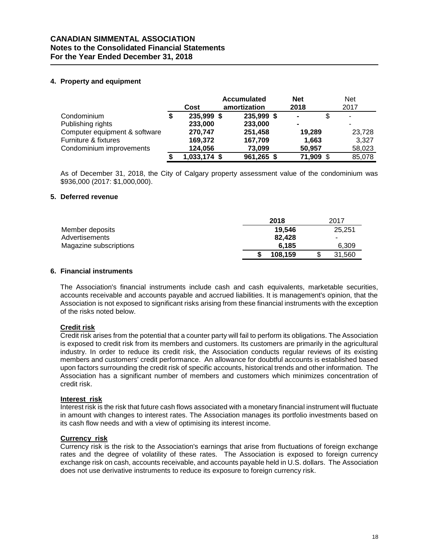## **CANADIAN SIMMENTAL ASSOCIATION Notes to the Consolidated Financial Statements For the Year Ended December 31, 2018**

## **4. Property and equipment**

|                               |   | Cost         | <b>Accumulated</b><br>amortization | <b>Net</b><br>2018 | <b>Net</b><br>2017 |
|-------------------------------|---|--------------|------------------------------------|--------------------|--------------------|
| Condominium                   | S | 235,999 \$   | 235,999 \$                         | $\blacksquare$     | $\blacksquare$     |
| Publishing rights             |   | 233,000      | 233,000                            |                    | ۰                  |
| Computer equipment & software |   | 270,747      | 251,458                            | 19.289             | 23,728             |
| Furniture & fixtures          |   | 169,372      | 167,709                            | 1,663              | 3,327              |
| Condominium improvements      |   | 124,056      | 73,099                             | 50,957             | 58,023             |
|                               |   | 1,033,174 \$ | 961,265 \$                         | 71,909             | 85,078             |

As of December 31, 2018, the City of Calgary property assessment value of the condominium was \$936,000 (2017: \$1,000,000).

## **5. Deferred revenue**

|                        | 2018    | 2017   |
|------------------------|---------|--------|
| Member deposits        | 19.546  | 25.251 |
| Advertisements         | 82.428  | $\sim$ |
| Magazine subscriptions | 6.185   | 6.309  |
|                        | 108,159 | 31.560 |

## **6. Financial instruments**

The Association's financial instruments include cash and cash equivalents, marketable securities, accounts receivable and accounts payable and accrued liabilities. It is management's opinion, that the Association is not exposed to significant risks arising from these financial instruments with the exception of the risks noted below.

## **Credit risk**

Credit risk arises from the potential that a counter party will fail to perform its obligations. The Association is exposed to credit risk from its members and customers. Its customers are primarily in the agricultural industry. In order to reduce its credit risk, the Association conducts regular reviews of its existing members and customers' credit performance. An allowance for doubtful accounts is established based upon factors surrounding the credit risk of specific accounts, historical trends and other information. The Association has a significant number of members and customers which minimizes concentration of credit risk.

## **Interest risk**

Interest risk is the risk that future cash flows associated with a monetary financial instrument will fluctuate in amount with changes to interest rates. The Association manages its portfolio investments based on its cash flow needs and with a view of optimising its interest income.

## **Currency risk**

Currency risk is the risk to the Association's earnings that arise from fluctuations of foreign exchange rates and the degree of volatility of these rates. The Association is exposed to foreign currency exchange risk on cash, accounts receivable, and accounts payable held in U.S. dollars. The Association does not use derivative instruments to reduce its exposure to foreign currency risk.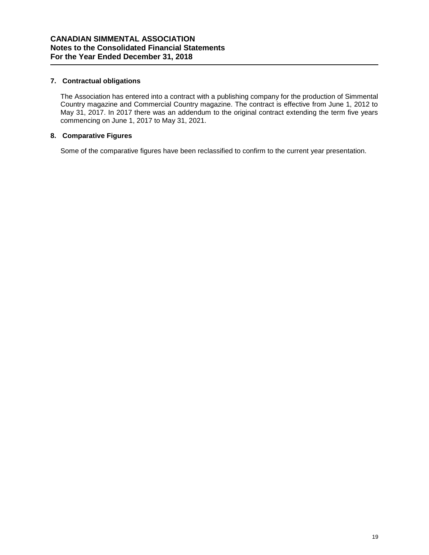## **7. Contractual obligations**

The Association has entered into a contract with a publishing company for the production of Simmental Country magazine and Commercial Country magazine. The contract is effective from June 1, 2012 to May 31, 2017. In 2017 there was an addendum to the original contract extending the term five years commencing on June 1, 2017 to May 31, 2021.

## **8. Comparative Figures**

Some of the comparative figures have been reclassified to confirm to the current year presentation.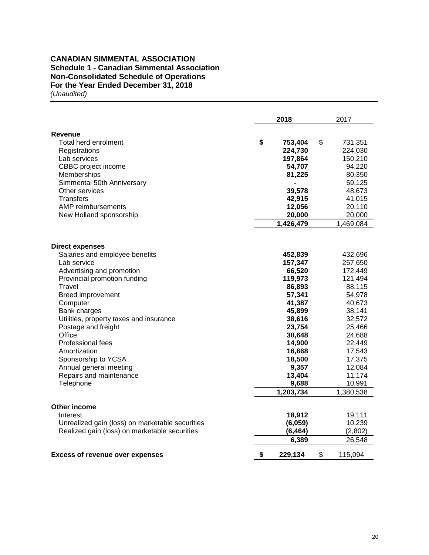## **CANADIAN SIMMENTAL ASSOCIATION Schedule 1 - Canadian Simmental Association Non-Consolidated Schedule of Operations For the Year Ended December 31, 2018**  *(Unaudited)*

|                                                                | 2018 |                  |    | 2017             |  |  |
|----------------------------------------------------------------|------|------------------|----|------------------|--|--|
| <b>Revenue</b>                                                 |      |                  |    |                  |  |  |
| Total herd enrolment                                           | \$   | 753,404          | \$ | 731,351          |  |  |
| Registrations                                                  |      | 224,730          |    | 224,030          |  |  |
| Lab services                                                   |      | 197,864          |    | 150,210          |  |  |
| CBBC project income                                            |      | 54,707           |    | 94,220           |  |  |
| Memberships                                                    |      | 81,225           |    | 80,350           |  |  |
| Simmental 50th Anniversary                                     |      |                  |    | 59,125           |  |  |
| Other services                                                 |      | 39,578           |    | 48,673           |  |  |
| Transfers                                                      |      | 42,915           |    | 41,015           |  |  |
| AMP reimbursements                                             |      | 12,056           |    | 20,110           |  |  |
| New Holland sponsorship                                        |      | 20,000           |    | 20,000           |  |  |
|                                                                |      | 1,426,479        |    | 1,469,084        |  |  |
|                                                                |      |                  |    |                  |  |  |
| <b>Direct expenses</b>                                         |      |                  |    |                  |  |  |
| Salaries and employee benefits                                 |      | 452,839          |    | 432,696          |  |  |
| Lab service                                                    |      | 157,347          |    | 257,650          |  |  |
| Advertising and promotion                                      |      | 66,520           |    | 172,449          |  |  |
| Provincial promotion funding                                   |      | 119,973          |    | 121,494          |  |  |
| Travel                                                         |      | 86,893           |    | 88,115           |  |  |
| <b>Breed improvement</b>                                       |      | 57,341           |    | 54,978           |  |  |
| Computer                                                       |      | 41,387           |    | 40,673           |  |  |
| Bank charges                                                   |      | 45,899           |    | 38,141           |  |  |
| Utilities, property taxes and insurance<br>Postage and freight |      | 38,616           |    | 32,572           |  |  |
| Office                                                         |      | 23,754<br>30,648 |    | 25,466<br>24,688 |  |  |
| Professional fees                                              |      | 14,900           |    | 22,449           |  |  |
| Amortization                                                   |      | 16,668           |    | 17,543           |  |  |
| Sponsorship to YCSA                                            |      | 18,500           |    | 17,375           |  |  |
| Annual general meeting                                         |      | 9,357            |    | 12,084           |  |  |
| Repairs and maintenance                                        |      | 13,404           |    | 11,174           |  |  |
| Telephone                                                      |      | 9,688            |    | 10,991           |  |  |
|                                                                |      | 1,203,734        |    | 1,380,538        |  |  |
|                                                                |      |                  |    |                  |  |  |
| Other income                                                   |      |                  |    |                  |  |  |
| Interest                                                       |      | 18,912           |    | 19,111           |  |  |
| Unrealized gain (loss) on marketable securities                |      | (6,059)          |    | 10,239           |  |  |
| Realized gain (loss) on marketable securities                  |      | (6, 464)         |    | (2,802)          |  |  |
|                                                                |      | 6,389            |    | 26,548           |  |  |
| <b>Excess of revenue over expenses</b>                         | \$   | 229,134          | \$ | 115,094          |  |  |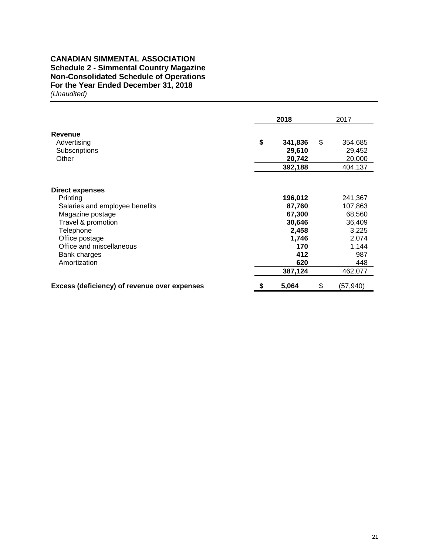## **CANADIAN SIMMENTAL ASSOCIATION Schedule 2 - Simmental Country Magazine Non-Consolidated Schedule of Operations For the Year Ended December 31, 2018** *(Unaudited)*

|                                                                                                                                                                                                           |    | 2018                                                                                    | 2017                                                                                       |
|-----------------------------------------------------------------------------------------------------------------------------------------------------------------------------------------------------------|----|-----------------------------------------------------------------------------------------|--------------------------------------------------------------------------------------------|
| <b>Revenue</b><br>Advertising<br>Subscriptions<br>Other                                                                                                                                                   |    | 341,836<br>29,610<br>20,742<br>392,188                                                  | \$<br>354,685<br>29,452<br>20,000<br>404,137                                               |
| <b>Direct expenses</b><br>Printing<br>Salaries and employee benefits<br>Magazine postage<br>Travel & promotion<br>Telephone<br>Office postage<br>Office and miscellaneous<br>Bank charges<br>Amortization |    | 196,012<br>87,760<br>67,300<br>30,646<br>2,458<br>1,746<br>170<br>412<br>620<br>387,124 | 241,367<br>107,863<br>68,560<br>36,409<br>3,225<br>2,074<br>1,144<br>987<br>448<br>462,077 |
| Excess (deficiency) of revenue over expenses                                                                                                                                                              | \$ | 5,064                                                                                   | \$<br>(57,940)                                                                             |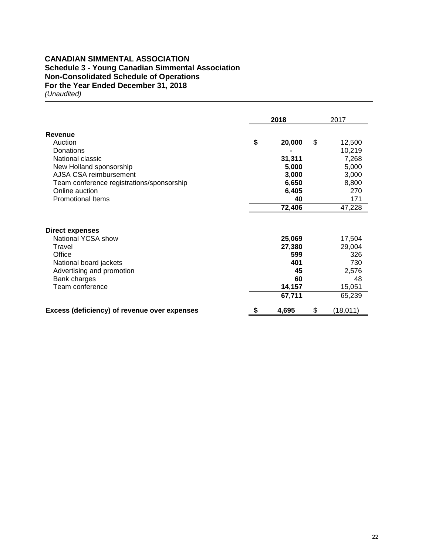## **CANADIAN SIMMENTAL ASSOCIATION Schedule 3 - Young Canadian Simmental Association Non-Consolidated Schedule of Operations For the Year Ended December 31, 2018** *(Unaudited)*

|                                                     | 2018         | 2017           |
|-----------------------------------------------------|--------------|----------------|
| Revenue                                             |              |                |
| Auction                                             | \$<br>20,000 | \$<br>12,500   |
| Donations                                           |              | 10,219         |
| National classic                                    | 31,311       | 7,268          |
| New Holland sponsorship                             | 5,000        | 5,000          |
| AJSA CSA reimbursement                              | 3,000        | 3,000          |
| Team conference registrations/sponsorship           | 6,650        | 8,800          |
| Online auction                                      | 6,405        | 270            |
| <b>Promotional Items</b>                            | 40           | 171            |
|                                                     | 72,406       | 47,228         |
| <b>Direct expenses</b>                              |              |                |
| National YCSA show                                  | 25,069       | 17,504         |
| Travel                                              | 27,380       | 29,004         |
| Office                                              | 599          | 326            |
| National board jackets                              | 401          | 730            |
| Advertising and promotion                           | 45           | 2,576          |
| Bank charges                                        | 60           | 48             |
| Team conference                                     | 14,157       | 15,051         |
|                                                     | 67,711       | 65,239         |
| <b>Excess (deficiency) of revenue over expenses</b> | \$<br>4,695  | \$<br>(18,011) |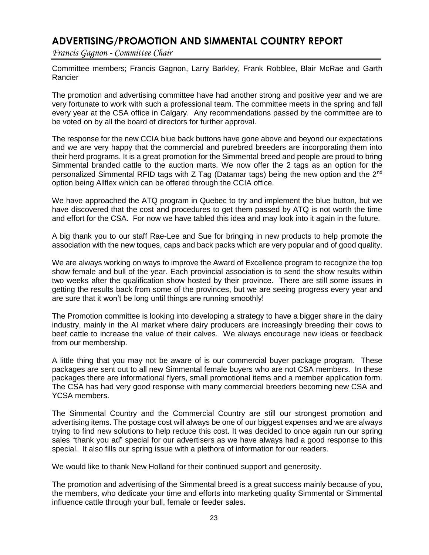# **ADVERTISING/PROMOTION AND SIMMENTAL COUNTRY REPORT**

*Francis Gagnon - Committee Chair*

Committee members; Francis Gagnon, Larry Barkley, Frank Robblee, Blair McRae and Garth Rancier

The promotion and advertising committee have had another strong and positive year and we are very fortunate to work with such a professional team. The committee meets in the spring and fall every year at the CSA office in Calgary. Any recommendations passed by the committee are to be voted on by all the board of directors for further approval.

The response for the new CCIA blue back buttons have gone above and beyond our expectations and we are very happy that the commercial and purebred breeders are incorporating them into their herd programs. It is a great promotion for the Simmental breed and people are proud to bring Simmental branded cattle to the auction marts. We now offer the 2 tags as an option for the personalized Simmental RFID tags with Z Tag (Datamar tags) being the new option and the 2<sup>nd</sup> option being Allflex which can be offered through the CCIA office.

We have approached the ATQ program in Quebec to try and implement the blue button, but we have discovered that the cost and procedures to get them passed by ATQ is not worth the time and effort for the CSA. For now we have tabled this idea and may look into it again in the future.

A big thank you to our staff Rae-Lee and Sue for bringing in new products to help promote the association with the new toques, caps and back packs which are very popular and of good quality.

We are always working on ways to improve the Award of Excellence program to recognize the top show female and bull of the year. Each provincial association is to send the show results within two weeks after the qualification show hosted by their province. There are still some issues in getting the results back from some of the provinces, but we are seeing progress every year and are sure that it won't be long until things are running smoothly!

The Promotion committee is looking into developing a strategy to have a bigger share in the dairy industry, mainly in the AI market where dairy producers are increasingly breeding their cows to beef cattle to increase the value of their calves. We always encourage new ideas or feedback from our membership.

A little thing that you may not be aware of is our commercial buyer package program. These packages are sent out to all new Simmental female buyers who are not CSA members. In these packages there are informational flyers, small promotional items and a member application form. The CSA has had very good response with many commercial breeders becoming new CSA and YCSA members.

The Simmental Country and the Commercial Country are still our strongest promotion and advertising items. The postage cost will always be one of our biggest expenses and we are always trying to find new solutions to help reduce this cost. It was decided to once again run our spring sales "thank you ad" special for our advertisers as we have always had a good response to this special. It also fills our spring issue with a plethora of information for our readers.

We would like to thank New Holland for their continued support and generosity.

The promotion and advertising of the Simmental breed is a great success mainly because of you, the members, who dedicate your time and efforts into marketing quality Simmental or Simmental influence cattle through your bull, female or feeder sales.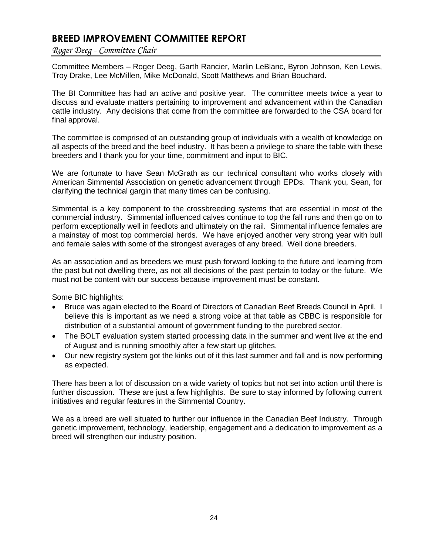# **BREED IMPROVEMENT COMMITTEE REPORT**

*Roger Deeg - Committee Chair*

Committee Members – Roger Deeg, Garth Rancier, Marlin LeBlanc, Byron Johnson, Ken Lewis, Troy Drake, Lee McMillen, Mike McDonald, Scott Matthews and Brian Bouchard.

The BI Committee has had an active and positive year. The committee meets twice a year to discuss and evaluate matters pertaining to improvement and advancement within the Canadian cattle industry. Any decisions that come from the committee are forwarded to the CSA board for final approval.

The committee is comprised of an outstanding group of individuals with a wealth of knowledge on all aspects of the breed and the beef industry. It has been a privilege to share the table with these breeders and I thank you for your time, commitment and input to BIC.

We are fortunate to have Sean McGrath as our technical consultant who works closely with American Simmental Association on genetic advancement through EPDs. Thank you, Sean, for clarifying the technical gargin that many times can be confusing.

Simmental is a key component to the crossbreeding systems that are essential in most of the commercial industry. Simmental influenced calves continue to top the fall runs and then go on to perform exceptionally well in feedlots and ultimately on the rail. Simmental influence females are a mainstay of most top commercial herds. We have enjoyed another very strong year with bull and female sales with some of the strongest averages of any breed. Well done breeders.

As an association and as breeders we must push forward looking to the future and learning from the past but not dwelling there, as not all decisions of the past pertain to today or the future. We must not be content with our success because improvement must be constant.

Some BIC highlights:

- Bruce was again elected to the Board of Directors of Canadian Beef Breeds Council in April. I believe this is important as we need a strong voice at that table as CBBC is responsible for distribution of a substantial amount of government funding to the purebred sector.
- The BOLT evaluation system started processing data in the summer and went live at the end of August and is running smoothly after a few start up glitches.
- Our new registry system got the kinks out of it this last summer and fall and is now performing as expected.

There has been a lot of discussion on a wide variety of topics but not set into action until there is further discussion. These are just a few highlights. Be sure to stay informed by following current initiatives and regular features in the Simmental Country.

We as a breed are well situated to further our influence in the Canadian Beef Industry. Through genetic improvement, technology, leadership, engagement and a dedication to improvement as a breed will strengthen our industry position.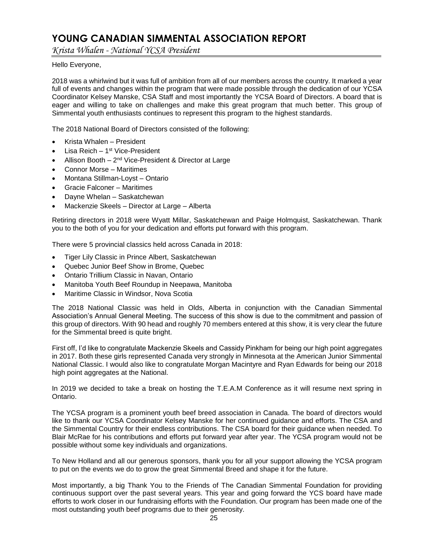# **YOUNG CANADIAN SIMMENTAL ASSOCIATION REPORT**

*Krista Whalen - National YCSA President*

## Hello Everyone,

2018 was a whirlwind but it was full of ambition from all of our members across the country. It marked a year full of events and changes within the program that were made possible through the dedication of our YCSA Coordinator Kelsey Manske, CSA Staff and most importantly the YCSA Board of Directors. A board that is eager and willing to take on challenges and make this great program that much better. This group of Simmental youth enthusiasts continues to represent this program to the highest standards.

The 2018 National Board of Directors consisted of the following:

- Krista Whalen President
- Lisa Reich 1<sup>st</sup> Vice-President
- Allison Booth  $-2^{nd}$  Vice-President & Director at Large
- Connor Morse Maritimes
- Montana Stillman-Loyst Ontario
- Gracie Falconer Maritimes
- Dayne Whelan Saskatchewan
- Mackenzie Skeels Director at Large Alberta

Retiring directors in 2018 were Wyatt Millar, Saskatchewan and Paige Holmquist, Saskatchewan. Thank you to the both of you for your dedication and efforts put forward with this program.

There were 5 provincial classics held across Canada in 2018:

- Tiger Lily Classic in Prince Albert, Saskatchewan
- Quebec Junior Beef Show in Brome, Quebec
- Ontario Trillium Classic in Navan, Ontario
- Manitoba Youth Beef Roundup in Neepawa, Manitoba
- Maritime Classic in Windsor, Nova Scotia

The 2018 National Classic was held in Olds, Alberta in conjunction with the Canadian Simmental Association's Annual General Meeting. The success of this show is due to the commitment and passion of this group of directors. With 90 head and roughly 70 members entered at this show, it is very clear the future for the Simmental breed is quite bright.

First off, I'd like to congratulate Mackenzie Skeels and Cassidy Pinkham for being our high point aggregates in 2017. Both these girls represented Canada very strongly in Minnesota at the American Junior Simmental National Classic. I would also like to congratulate Morgan Macintyre and Ryan Edwards for being our 2018 high point aggregates at the National.

In 2019 we decided to take a break on hosting the T.E.A.M Conference as it will resume next spring in Ontario.

The YCSA program is a prominent youth beef breed association in Canada. The board of directors would like to thank our YCSA Coordinator Kelsey Manske for her continued guidance and efforts. The CSA and the Simmental Country for their endless contributions. The CSA board for their guidance when needed. To Blair McRae for his contributions and efforts put forward year after year. The YCSA program would not be possible without some key individuals and organizations.

To New Holland and all our generous sponsors, thank you for all your support allowing the YCSA program to put on the events we do to grow the great Simmental Breed and shape it for the future.

Most importantly, a big Thank You to the Friends of The Canadian Simmental Foundation for providing continuous support over the past several years. This year and going forward the YCS board have made efforts to work closer in our fundraising efforts with the Foundation. Our program has been made one of the most outstanding youth beef programs due to their generosity.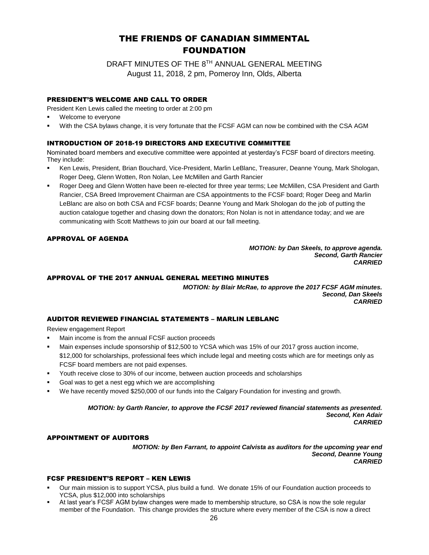# THE FRIENDS OF CANADIAN SIMMENTAL FOUNDATION

DRAFT MINUTES OF THE 8TH ANNUAL GENERAL MEETING August 11, 2018, 2 pm, Pomeroy Inn, Olds, Alberta

## PRESIDENT'S WELCOME AND CALL TO ORDER

President Ken Lewis called the meeting to order at 2:00 pm

- Welcome to everyone
- With the CSA bylaws change, it is very fortunate that the FCSF AGM can now be combined with the CSA AGM

## INTRODUCTION OF 2018-19 DIRECTORS AND EXECUTIVE COMMITTEE

Nominated board members and executive committee were appointed at yesterday's FCSF board of directors meeting. They include:

- Ken Lewis, President, Brian Bouchard, Vice-President, Marlin LeBlanc, Treasurer, Deanne Young, Mark Shologan, Roger Deeg, Glenn Wotten, Ron Nolan, Lee McMillen and Garth Rancier
- Roger Deeg and Glenn Wotten have been re-elected for three year terms; Lee McMillen, CSA President and Garth Rancier, CSA Breed Improvement Chairman are CSA appointments to the FCSF board; Roger Deeg and Marlin LeBlanc are also on both CSA and FCSF boards; Deanne Young and Mark Shologan do the job of putting the auction catalogue together and chasing down the donators; Ron Nolan is not in attendance today; and we are communicating with Scott Matthews to join our board at our fall meeting.

## APPROVAL OF AGENDA

#### *MOTION: by Dan Skeels, to approve agenda. Second, Garth Rancier CARRIED*

## APPROVAL OF THE 2017 ANNUAL GENERAL MEETING MINUTES

*MOTION: by Blair McRae, to approve the 2017 FCSF AGM minutes. Second, Dan Skeels CARRIED*

## AUDITOR REVIEWED FINANCIAL STATEMENTS – MARLIN LEBLANC

Review engagement Report

- Main income is from the annual FCSF auction proceeds
- Main expenses include sponsorship of \$12,500 to YCSA which was 15% of our 2017 gross auction income, \$12,000 for scholarships, professional fees which include legal and meeting costs which are for meetings only as FCSF board members are not paid expenses.
- Youth receive close to 30% of our income, between auction proceeds and scholarships
- Goal was to get a nest egg which we are accomplishing
- We have recently moved \$250,000 of our funds into the Calgary Foundation for investing and growth.

*MOTION: by Garth Rancier, to approve the FCSF 2017 reviewed financial statements as presented. Second, Ken Adair CARRIED*

### APPOINTMENT OF AUDITORS

*MOTION: by Ben Farrant, to appoint Calvista as auditors for the upcoming year end Second, Deanne Young CARRIED*

## FCSF PRESIDENT'S REPORT – KEN LEWIS

- Our main mission is to support YCSA, plus build a fund. We donate 15% of our Foundation auction proceeds to YCSA, plus \$12,000 into scholarships
- At last year's FCSF AGM bylaw changes were made to membership structure, so CSA is now the sole regular member of the Foundation. This change provides the structure where every member of the CSA is now a direct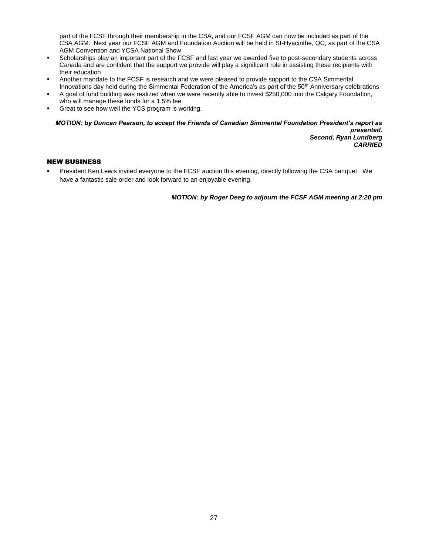part of the FCSF through their membership in the CSA, and our FCSF AGM can now be included as part of the CSA AGM. Next year our FCSF AGM and Foundation Auction will be held in St-Hyacinthe, QC, as part of the CSA AGM Convention and YCSA National Show

- Scholarships play an important part of the FCSF and last year we awarded five to post-secondary students across Canada and are confident that the support we provide will play a significant role in assisting these recipients with their education
- Another mandate to the FCSF is research and we were pleased to provide support to the CSA Simmental Innovations day held during the Simmental Federation of the America's as part of the 50<sup>th</sup> Anniversary celebrations
- A goal of fund building was realized when we were recently able to invest \$250,000 into the Calgary Foundation, who will manage these funds for a 1.5% fee
- **•** Great to see how well the YCS program is working.

*MOTION: by Duncan Pearson, to accept the Friends of Canadian Simmental Foundation President's report as presented. Second, Ryan Lundberg CARRIED* 

## NEW BUSINESS

President Ken Lewis invited everyone to the FCSF auction this evening, directly following the CSA banquet. We have a fantastic sale order and look forward to an enjoyable evening.

*MOTION: by Roger Deeg to adjourn the FCSF AGM meeting at 2:20 pm*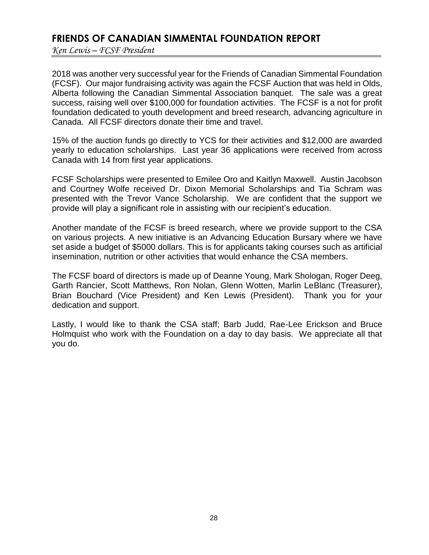# **FRIENDS OF CANADIAN SIMMENTAL FOUNDATION REPORT**

*Ken Lewis – FCSF President*

2018 was another very successful year for the Friends of Canadian Simmental Foundation (FCSF). Our major fundraising activity was again the FCSF Auction that was held in Olds, Alberta following the Canadian Simmental Association banquet. The sale was a great success, raising well over \$100,000 for foundation activities. The FCSF is a not for profit foundation dedicated to youth development and breed research, advancing agriculture in Canada. All FCSF directors donate their time and travel.

15% of the auction funds go directly to YCS for their activities and \$12,000 are awarded yearly to education scholarships. Last year 36 applications were received from across Canada with 14 from first year applications.

FCSF Scholarships were presented to Emilee Oro and Kaitlyn Maxwell. Austin Jacobson and Courtney Wolfe received Dr. Dixon Memorial Scholarships and Tia Schram was presented with the Trevor Vance Scholarship. We are confident that the support we provide will play a significant role in assisting with our recipient's education.

Another mandate of the FCSF is breed research, where we provide support to the CSA on various projects. A new initiative is an Advancing Education Bursary where we have set aside a budget of \$5000 dollars. This is for applicants taking courses such as artificial insemination, nutrition or other activities that would enhance the CSA members.

The FCSF board of directors is made up of Deanne Young, Mark Shologan, Roger Deeg, Garth Rancier, Scott Matthews, Ron Nolan, Glenn Wotten, Marlin LeBlanc (Treasurer), Brian Bouchard (Vice President) and Ken Lewis (President). Thank you for your dedication and support.

Lastly, I would like to thank the CSA staff; Barb Judd, Rae-Lee Erickson and Bruce Holmquist who work with the Foundation on a day to day basis. We appreciate all that you do.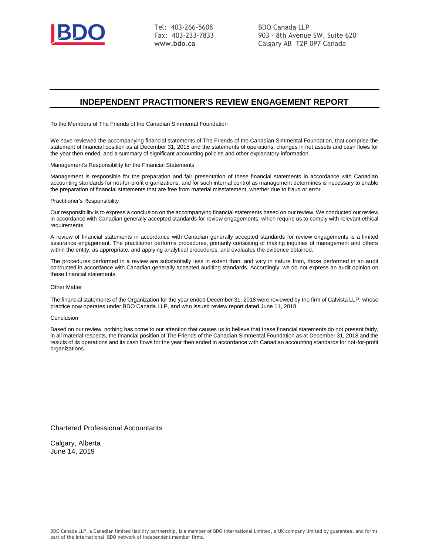

Tel: 403-266-5608 Fax: 403-233-7833 **www.bdo.ca**

BDO Canada LLP 903 - 8th Avenue SW, Suite 620 Calgary AB T2P 0P7 Canada

## **INDEPENDENT PRACTITIONER'S REVIEW ENGAGEMENT REPORT**

To the Members of The Friends of the Canadian Simmental Foundation

We have reviewed the accompanying financial statements of The Friends of the Canadian Simmental Foundation, that comprise the statement of financial position as at December 31, 2018 and the statements of operations, changes in net assets and cash flows for the year then ended, and a summary of significant accounting policies and other explanatory information.

Management's Responsibility for the Financial Statements

Management is responsible for the preparation and fair presentation of these financial statements in accordance with Canadian accounting standards for not-for-profit organizations, and for such internal control as management determines is necessary to enable the preparation of financial statements that are free from material misstatement, whether due to fraud or error.

#### Practitioner's Responsibility

Our responsibility is to express a conclusion on the accompanying financial statements based on our review. We conducted our review in accordance with Canadian generally accepted standards for review engagements, which require us to comply with relevant ethical requirements.

A review of financial statements in accordance with Canadian generally accepted standards for review engagements is a limited assurance engagement. The practitioner performs procedures, primarily consisting of making inquiries of management and others within the entity, as appropriate, and applying analytical procedures, and evaluates the evidence obtained.

The procedures performed in a review are substantially less in extent than, and vary in nature from, those performed in an audit conducted in accordance with Canadian generally accepted auditing standards. Accordingly, we do not express an audit opinion on these financial statements.

#### Other Matter

The financial statements of the Organization for the year ended December 31, 2018 were reviewed by the firm of Calvista LLP, whose practice now operates under BDO Canada LLP, and who issued review report dated June 11, 2018.

#### Conclusion

Based on our review, nothing has come to our attention that causes us to believe that these financial statements do not present fairly, in all material respects, the financial position of The Friends of the Canadian Simmental Foundation as at December 31, 2018 and the results of its operations and its cash flows for the year then ended in accordance with Canadian accounting standards for not-for-profit organizations.

Chartered Professional Accountants

Calgary, Alberta June 14, 2019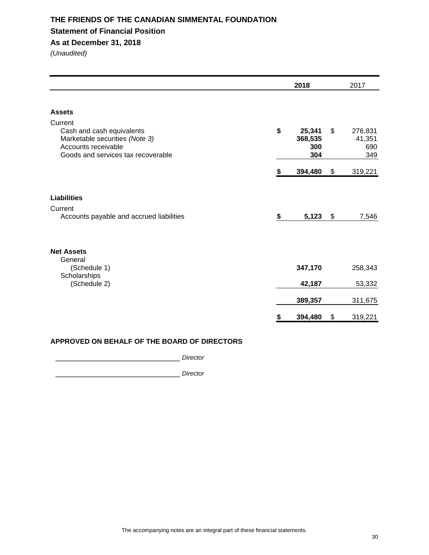## **THE FRIENDS OF THE CANADIAN SIMMENTAL FOUNDATION Statement of Financial Position As at December 31, 2018**

*(Unaudited)*

|                                                                                                                | 2018                           | 2017                           |
|----------------------------------------------------------------------------------------------------------------|--------------------------------|--------------------------------|
| <b>Assets</b><br>Current<br>Cash and cash equivalents<br>Marketable securities (Note 3)<br>Accounts receivable | \$<br>25,341<br>368,535<br>300 | \$<br>276,831<br>41,351<br>690 |
| Goods and services tax recoverable                                                                             | 304                            | 349                            |
|                                                                                                                | \$<br>394,480                  | \$<br>319,221                  |
| <b>Liabilities</b>                                                                                             |                                |                                |
| Current<br>Accounts payable and accrued liabilities                                                            | \$<br>5,123                    | \$<br>7,546                    |
| <b>Net Assets</b><br>General<br>(Schedule 1)                                                                   | 347,170                        | 258,343                        |
| Scholarships<br>(Schedule 2)                                                                                   | 42,187                         | 53,332                         |
|                                                                                                                | 389,357                        | 311,675                        |
|                                                                                                                | \$<br>394,480                  | \$<br>319,221                  |

## **APPROVED ON BEHALF OF THE BOARD OF DIRECTORS**

\_\_\_\_\_\_\_\_\_\_\_\_\_\_\_\_\_\_\_\_\_\_\_\_\_\_\_\_\_ *Director*

\_\_\_\_\_\_\_\_\_\_\_\_\_\_\_\_\_\_\_\_\_\_\_\_\_\_\_\_\_ *Director*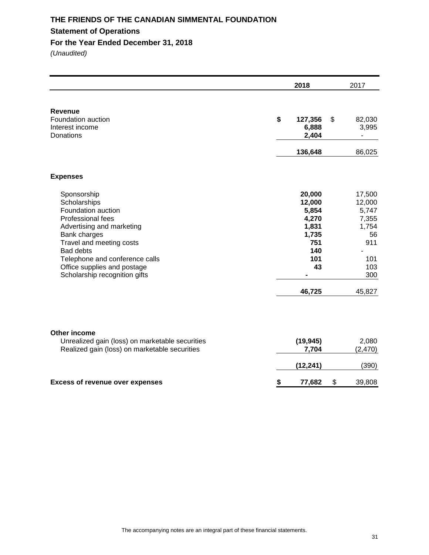# **THE FRIENDS OF THE CANADIAN SIMMENTAL FOUNDATION Statement of Operations**

**For the Year Ended December 31, 2018**

|                                                                                                                                                                                                                                                                              | 2018                                                                                      | 2017                                                                                    |
|------------------------------------------------------------------------------------------------------------------------------------------------------------------------------------------------------------------------------------------------------------------------------|-------------------------------------------------------------------------------------------|-----------------------------------------------------------------------------------------|
| <b>Revenue</b><br>Foundation auction<br>Interest income<br>Donations                                                                                                                                                                                                         | \$<br>127,356<br>6,888<br>2,404                                                           | \$<br>82,030<br>3,995                                                                   |
|                                                                                                                                                                                                                                                                              | 136,648                                                                                   | 86,025                                                                                  |
| <b>Expenses</b>                                                                                                                                                                                                                                                              |                                                                                           |                                                                                         |
| Sponsorship<br>Scholarships<br>Foundation auction<br>Professional fees<br>Advertising and marketing<br><b>Bank charges</b><br>Travel and meeting costs<br><b>Bad debts</b><br>Telephone and conference calls<br>Office supplies and postage<br>Scholarship recognition gifts | 20,000<br>12,000<br>5,854<br>4,270<br>1,831<br>1,735<br>751<br>140<br>101<br>43<br>46,725 | 17,500<br>12,000<br>5,747<br>7,355<br>1,754<br>56<br>911<br>101<br>103<br>300<br>45,827 |
| Other income<br>Unrealized gain (loss) on marketable securities<br>Realized gain (loss) on marketable securities                                                                                                                                                             | (19, 945)<br>7,704                                                                        | 2,080<br>(2, 470)                                                                       |
|                                                                                                                                                                                                                                                                              | (12, 241)                                                                                 | (390)                                                                                   |
| <b>Excess of revenue over expenses</b>                                                                                                                                                                                                                                       | \$<br>77,682                                                                              | \$<br>39,808                                                                            |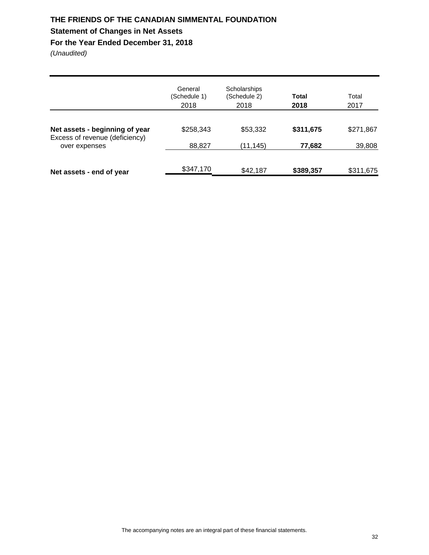## **THE FRIENDS OF THE CANADIAN SIMMENTAL FOUNDATION Statement of Changes in Net Assets**

## **For the Year Ended December 31, 2018**

|                                                 | General<br>(Schedule 1)<br>2018 | Scholarships<br>(Schedule 2)<br>2018 | <b>Total</b><br>2018 | Total<br>2017 |
|-------------------------------------------------|---------------------------------|--------------------------------------|----------------------|---------------|
| Net assets - beginning of year                  | \$258,343                       | \$53,332                             | \$311,675            | \$271,867     |
| Excess of revenue (deficiency)<br>over expenses | 88,827                          | (11,145)                             | 77,682               | 39,808        |
| Net assets - end of year                        | \$347,170                       | \$42,187                             | \$389,357            | \$311,675     |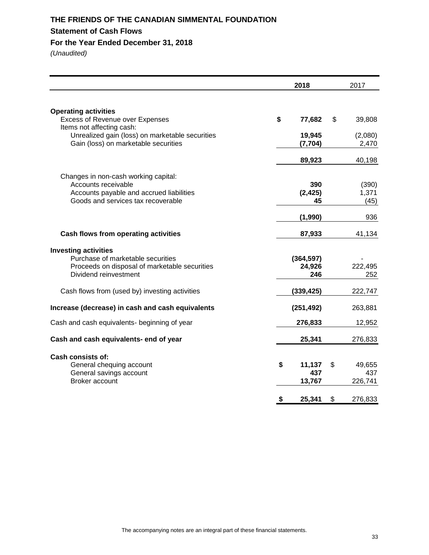# **THE FRIENDS OF THE CANADIAN SIMMENTAL FOUNDATION Statement of Cash Flows**

**For the Year Ended December 31, 2018**

|                                                                                                                                               | 2018                          | 2017                           |
|-----------------------------------------------------------------------------------------------------------------------------------------------|-------------------------------|--------------------------------|
| <b>Operating activities</b><br><b>Excess of Revenue over Expenses</b>                                                                         | \$<br>77,682                  | \$<br>39,808                   |
| Items not affecting cash:<br>Unrealized gain (loss) on marketable securities<br>Gain (loss) on marketable securities                          | 19,945<br>(7, 704)            | (2,080)<br>2,470               |
|                                                                                                                                               | 89,923                        | 40,198                         |
| Changes in non-cash working capital:<br>Accounts receivable<br>Accounts payable and accrued liabilities<br>Goods and services tax recoverable | 390<br>(2, 425)<br>45         | (390)<br>1,371<br>(45)         |
|                                                                                                                                               | (1,990)                       | 936                            |
| Cash flows from operating activities                                                                                                          | 87,933                        | 41,134                         |
| <b>Investing activities</b><br>Purchase of marketable securities<br>Proceeds on disposal of marketable securities<br>Dividend reinvestment    | (364, 597)<br>24,926<br>246   | 222,495<br>252                 |
| Cash flows from (used by) investing activities                                                                                                | (339, 425)                    | 222,747                        |
| Increase (decrease) in cash and cash equivalents                                                                                              | (251, 492)                    | 263,881                        |
| Cash and cash equivalents- beginning of year                                                                                                  | 276,833                       | 12,952                         |
| Cash and cash equivalents- end of year                                                                                                        | 25,341                        | 276,833                        |
| <b>Cash consists of:</b><br>General chequing account<br>General savings account<br>Broker account                                             | \$<br>11,137<br>437<br>13,767 | \$<br>49,655<br>437<br>226,741 |
|                                                                                                                                               | \$<br>25,341                  | \$<br>276,833                  |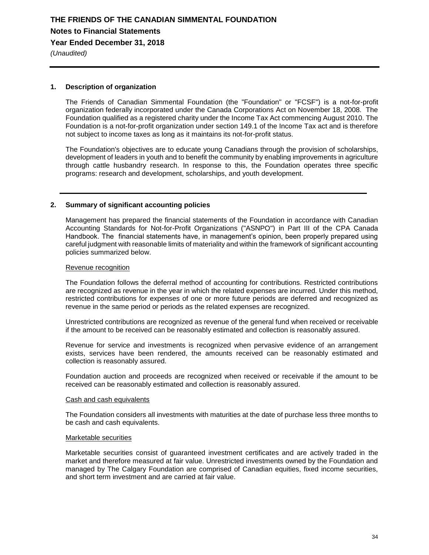*(Unaudited)*

## **1. Description of organization**

The Friends of Canadian Simmental Foundation (the "Foundation" or "FCSF") is a not-for-profit organization federally incorporated under the Canada Corporations Act on November 18, 2008. The Foundation qualified as a registered charity under the Income Tax Act commencing August 2010. The Foundation is a not-for-profit organization under section 149.1 of the Income Tax act and is therefore not subject to income taxes as long as it maintains its not-for-profit status.

The Foundation's objectives are to educate young Canadians through the provision of scholarships, development of leaders in youth and to benefit the community by enabling improvements in agriculture through cattle husbandry research. In response to this, the Foundation operates three specific programs: research and development, scholarships, and youth development.

## **2. Summary of significant accounting policies**

Management has prepared the financial statements of the Foundation in accordance with Canadian Accounting Standards for Not-for-Profit Organizations ("ASNPO") in Part III of the CPA Canada Handbook. The financial statements have, in management's opinion, been properly prepared using careful judgment with reasonable limits of materiality and within the framework of significant accounting policies summarized below.

## Revenue recognition

The Foundation follows the deferral method of accounting for contributions. Restricted contributions are recognized as revenue in the year in which the related expenses are incurred. Under this method, restricted contributions for expenses of one or more future periods are deferred and recognized as revenue in the same period or periods as the related expenses are recognized.

Unrestricted contributions are recognized as revenue of the general fund when received or receivable if the amount to be received can be reasonably estimated and collection is reasonably assured.

Revenue for service and investments is recognized when pervasive evidence of an arrangement exists, services have been rendered, the amounts received can be reasonably estimated and collection is reasonably assured.

Foundation auction and proceeds are recognized when received or receivable if the amount to be received can be reasonably estimated and collection is reasonably assured.

### Cash and cash equivalents

The Foundation considers all investments with maturities at the date of purchase less three months to be cash and cash equivalents.

### Marketable securities

Marketable securities consist of guaranteed investment certificates and are actively traded in the market and therefore measured at fair value. Unrestricted investments owned by the Foundation and managed by The Calgary Foundation are comprised of Canadian equities, fixed income securities, and short term investment and are carried at fair value.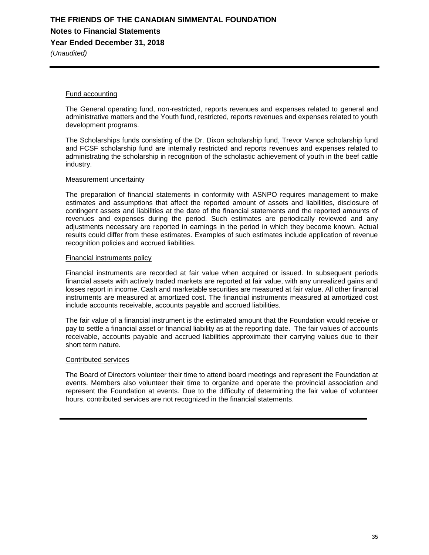## **THE FRIENDS OF THE CANADIAN SIMMENTAL FOUNDATION Notes to Financial Statements Year Ended December 31, 2018**

*(Unaudited)*

## Fund accounting

The General operating fund, non-restricted, reports revenues and expenses related to general and administrative matters and the Youth fund, restricted, reports revenues and expenses related to youth development programs.

The Scholarships funds consisting of the Dr. Dixon scholarship fund, Trevor Vance scholarship fund and FCSF scholarship fund are internally restricted and reports revenues and expenses related to administrating the scholarship in recognition of the scholastic achievement of youth in the beef cattle industry.

## Measurement uncertainty

The preparation of financial statements in conformity with ASNPO requires management to make estimates and assumptions that affect the reported amount of assets and liabilities, disclosure of contingent assets and liabilities at the date of the financial statements and the reported amounts of revenues and expenses during the period. Such estimates are periodically reviewed and any adjustments necessary are reported in earnings in the period in which they become known. Actual results could differ from these estimates. Examples of such estimates include application of revenue recognition policies and accrued liabilities.

## Financial instruments policy

Financial instruments are recorded at fair value when acquired or issued. In subsequent periods financial assets with actively traded markets are reported at fair value, with any unrealized gains and losses report in income. Cash and marketable securities are measured at fair value. All other financial instruments are measured at amortized cost. The financial instruments measured at amortized cost include accounts receivable, accounts payable and accrued liabilities.

The fair value of a financial instrument is the estimated amount that the Foundation would receive or pay to settle a financial asset or financial liability as at the reporting date. The fair values of accounts receivable, accounts payable and accrued liabilities approximate their carrying values due to their short term nature.

## Contributed services

The Board of Directors volunteer their time to attend board meetings and represent the Foundation at events. Members also volunteer their time to organize and operate the provincial association and represent the Foundation at events. Due to the difficulty of determining the fair value of volunteer hours, contributed services are not recognized in the financial statements.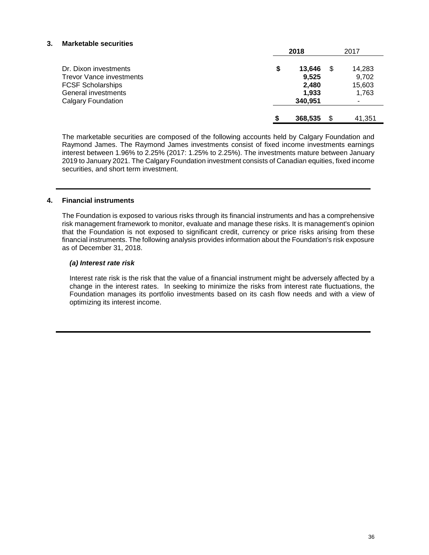## **3. Marketable securities**

|                                 | 2018 |         |  | 2017   |
|---------------------------------|------|---------|--|--------|
| Dr. Dixon investments           | \$   | 13.646  |  | 14,283 |
| <b>Trevor Vance investments</b> |      | 9,525   |  | 9,702  |
| <b>FCSF Scholarships</b>        |      | 2,480   |  | 15,603 |
| General investments             |      | 1,933   |  | 1,763  |
| <b>Calgary Foundation</b>       |      | 340,951 |  |        |
|                                 |      | 368,535 |  | 41,351 |

The marketable securities are composed of the following accounts held by Calgary Foundation and Raymond James. The Raymond James investments consist of fixed income investments earnings interest between 1.96% to 2.25% (2017: 1.25% to 2.25%). The investments mature between January 2019 to January 2021. The Calgary Foundation investment consists of Canadian equities, fixed income securities, and short term investment.

## **4. Financial instruments**

The Foundation is exposed to various risks through its financial instruments and has a comprehensive risk management framework to monitor, evaluate and manage these risks. It is management's opinion that the Foundation is not exposed to significant credit, currency or price risks arising from these financial instruments. The following analysis provides information about the Foundation's risk exposure as of December 31, 2018.

## *(a) Interest rate risk*

Interest rate risk is the risk that the value of a financial instrument might be adversely affected by a change in the interest rates. In seeking to minimize the risks from interest rate fluctuations, the Foundation manages its portfolio investments based on its cash flow needs and with a view of optimizing its interest income.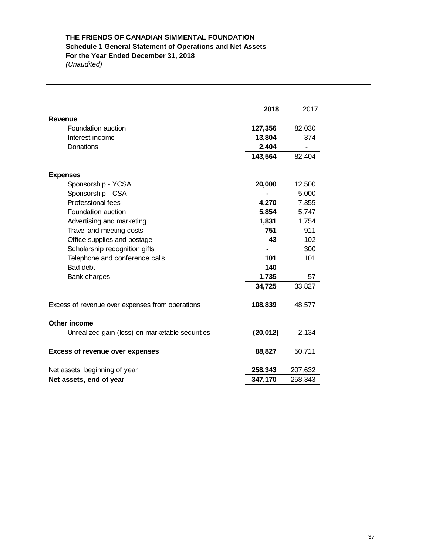# **THE FRIENDS OF CANADIAN SIMMENTAL FOUNDATION Schedule 1 General Statement of Operations and Net Assets For the Year Ended December 31, 2018**

|                                                 | 2018     | 2017    |
|-------------------------------------------------|----------|---------|
| Revenue                                         |          |         |
| Foundation auction                              | 127,356  | 82,030  |
| Interest income                                 | 13,804   | 374     |
| Donations                                       | 2,404    |         |
|                                                 | 143,564  | 82,404  |
| <b>Expenses</b>                                 |          |         |
| Sponsorship - YCSA                              | 20,000   | 12,500  |
| Sponsorship - CSA                               |          | 5,000   |
| Professional fees                               | 4,270    | 7,355   |
| Foundation auction                              | 5,854    | 5,747   |
| Advertising and marketing                       | 1,831    | 1,754   |
| Travel and meeting costs                        | 751      | 911     |
| Office supplies and postage                     | 43       | 102     |
| Scholarship recognition gifts                   |          | 300     |
| Telephone and conference calls                  | 101      | 101     |
| Bad debt                                        | 140      |         |
| Bank charges                                    | 1,735    | 57      |
|                                                 | 34,725   | 33,827  |
| Excess of revenue over expenses from operations | 108,839  | 48,577  |
| Other income                                    |          |         |
| Unrealized gain (loss) on marketable securities | (20,012) | 2,134   |
| <b>Excess of revenue over expenses</b>          | 88,827   | 50,711  |
| Net assets, beginning of year                   | 258,343  | 207,632 |
| Net assets, end of year                         | 347,170  | 258,343 |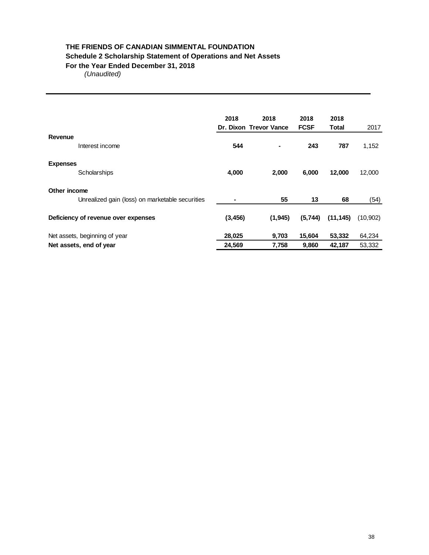## **THE FRIENDS OF CANADIAN SIMMENTAL FOUNDATION Schedule 2 Scholarship Statement of Operations and Net Assets For the Year Ended December 31, 2018**

|                                                                 | 2018<br>Dr. Dixon Trevor Vance | 2018    | 2018<br><b>FCSF</b> | 2018<br><b>Total</b> | 2017     |
|-----------------------------------------------------------------|--------------------------------|---------|---------------------|----------------------|----------|
| Revenue<br>Interest income                                      | 544                            | ۰       | 243                 | 787                  | 1,152    |
| <b>Expenses</b><br>Scholarships                                 | 4,000                          | 2,000   | 6,000               | 12,000               | 12,000   |
| Other income<br>Unrealized gain (loss) on marketable securities |                                | 55      | 13                  | 68                   | (54)     |
| Deficiency of revenue over expenses                             | (3, 456)                       | (1,945) | (5,744)             | (11, 145)            | (10,902) |
| Net assets, beginning of year                                   | 28,025                         | 9,703   | 15,604              | 53,332               | 64,234   |
| Net assets, end of year                                         | 24,569                         | 7,758   | 9,860               | 42,187               | 53,332   |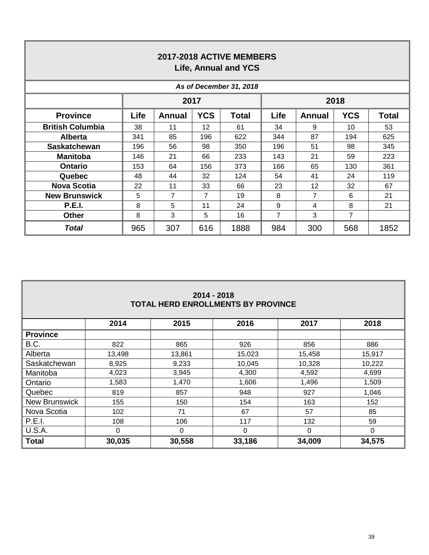| 2017-2018 ACTIVE MEMBERS<br><b>Life, Annual and YCS</b> |      |        |            |              |      |                 |            |       |  |  |  |  |
|---------------------------------------------------------|------|--------|------------|--------------|------|-----------------|------------|-------|--|--|--|--|
| As of December 31, 2018                                 |      |        |            |              |      |                 |            |       |  |  |  |  |
|                                                         |      |        | 2017       |              |      |                 | 2018       |       |  |  |  |  |
| <b>Province</b>                                         | Life | Annual | <b>YCS</b> | <b>Total</b> | Life | Annual          | <b>YCS</b> | Total |  |  |  |  |
| <b>British Columbia</b>                                 | 38   | 11     | 12         | 61           | 34   | 9               | 10         | 53    |  |  |  |  |
| <b>Alberta</b>                                          | 341  | 85     | 196        | 622          | 344  | 87              | 194        | 625   |  |  |  |  |
| <b>Saskatchewan</b>                                     | 196  | 56     | 98         | 350          | 196  | 51              | 98         | 345   |  |  |  |  |
| <b>Manitoba</b>                                         | 146  | 21     | 66         | 233          | 143  | 21              | 59         | 223   |  |  |  |  |
| <b>Ontario</b>                                          | 153  | 64     | 156        | 373          | 166  | 65              | 130        | 361   |  |  |  |  |
| Quebec                                                  | 48   | 44     | 32         | 124          | 54   | 41              | 24         | 119   |  |  |  |  |
| <b>Nova Scotia</b>                                      | 22   | 11     | 33         | 66           | 23   | 12 <sup>2</sup> | 32         | 67    |  |  |  |  |
| <b>New Brunswick</b>                                    | 5    | 7      | 7          | 19           | 8    | 7               | 6          | 21    |  |  |  |  |
| <b>P.E.I.</b>                                           | 8    | 5      | 11         | 24           | 9    | 4               | 8          | 21    |  |  |  |  |
| Other                                                   | 8    | 3      | 5          | 16           | 7    | 3               | 7          |       |  |  |  |  |
| <b>Total</b>                                            | 965  | 307    | 616        | 1888         | 984  | 300             | 568        | 1852  |  |  |  |  |

| $2014 - 2018$<br><b>TOTAL HERD ENROLLMENTS BY PROVINCE</b> |                                      |        |        |        |        |  |  |  |  |  |  |
|------------------------------------------------------------|--------------------------------------|--------|--------|--------|--------|--|--|--|--|--|--|
|                                                            | 2018<br>2014<br>2015<br>2016<br>2017 |        |        |        |        |  |  |  |  |  |  |
| <b>Province</b>                                            |                                      |        |        |        |        |  |  |  |  |  |  |
| B.C.                                                       | 822                                  | 865    | 926    | 856    | 886    |  |  |  |  |  |  |
| Alberta                                                    | 13,498                               | 13,861 | 15,023 | 15,458 | 15,917 |  |  |  |  |  |  |
| Saskatchewan                                               | 8,925                                | 9,233  | 10,045 | 10,328 | 10,222 |  |  |  |  |  |  |
| Manitoba                                                   | 4,023                                | 3,945  | 4,300  | 4,592  | 4,699  |  |  |  |  |  |  |
| Ontario                                                    | 1,583                                | 1,470  | 1,606  | 1,496  | 1,509  |  |  |  |  |  |  |
| Quebec                                                     | 819                                  | 857    | 948    | 927    | 1,046  |  |  |  |  |  |  |
| <b>New Brunswick</b>                                       | 155                                  | 150    | 154    | 163    | 152    |  |  |  |  |  |  |
| Nova Scotia                                                | 102                                  | 71     | 67     | 57     | 85     |  |  |  |  |  |  |
| <b>P.E.I.</b>                                              | 108                                  | 106    | 117    | 132    | 59     |  |  |  |  |  |  |
| <b>U.S.A.</b>                                              | 0                                    | 0      | 0      | 0      | 0      |  |  |  |  |  |  |
| <b>Total</b>                                               | 30,035                               | 30,558 | 33,186 | 34,009 | 34,575 |  |  |  |  |  |  |